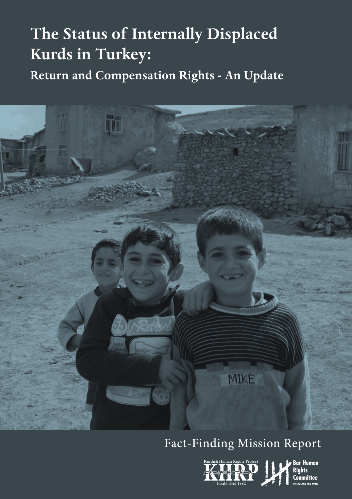# **The Status of Internally Displaced Kurds in Turkey:**

**Return and Compensation Rights - An Update**



# Fact-Finding Mission Report

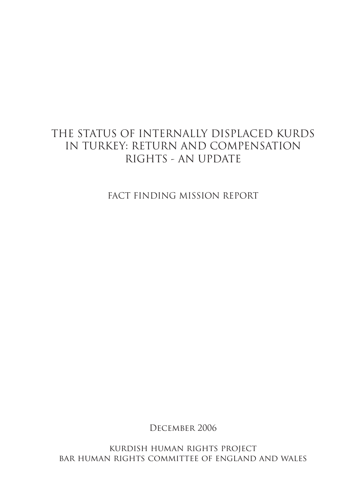### THE STATUS OF INTERNALLY DISPLACED KURDS IN TURKEY: RETURN AND COMPENSATION RIGHTS - AN UPDATE

FACT FINDING MISSION REPORT

DECEMBER 2006

kurdish human rights project bar human rights committee of england and wales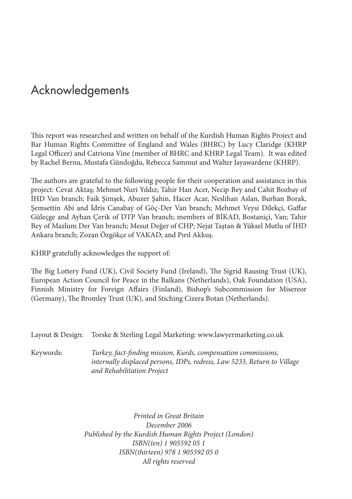### Acknowledgements

This report was researched and written on behalf of the Kurdish Human Rights Project and Bar Human Rights Committee of England and Wales (BHRC) by Lucy Claridge (KHRP Legal Officer) and Catriona Vine (member of BHRC and KHRP Legal Team). It was edited by Rachel Bernu, Mustafa Gündoğdu, Rebecca Sammut and Walter Jayawardene (KHRP).

The authors are grateful to the following people for their cooperation and assistance in this project: Cevat Aktaş; Mehmet Nuri Yıldız; Tahir Han Acer, Necip Bey and Cahit Bozbay of İHD Van branch; Faik Şimşek, Abuzer Şahin, Hacer Acar, Neslihan Aslan, Burhan Borak, Şemsettin Abi and İdris Canabay of Göç-Der Van branch; Mehmet Veysi Dilekçi, Gaffar Güleçge and Ayhan Çerik of DTP Van branch; members of BİKAD, Bostaniçi, Van; Tahir Bey of Mazlum Der Van branch; Mesut Değer of CHP; Nejat Taştan & Yüksel Mutlu of İHD Ankara branch; Zozan Özgökçe of VAKAD; and Pırıl Akkuş.

KHRP gratefully acknowledges the support of:

The Big Lottery Fund (UK), Civil Society Fund (Ireland), The Sigrid Rausing Trust (UK), European Action Council for Peace in the Balkans (Netherlands), Oak Foundation (USA), Finnish Ministry for Foreign Affairs (Finland), Bishop's Subcommission for Misereor (Germany), The Bromley Trust (UK), and Stiching Cizera Botan (Netherlands).

Keywords: *Turkey, fact-finding mission, Kurds, compensation commissions, internally displaced persons, IDPs, redress, Law 5233, Return to Village and Rehabilitation Project*

> *Printed in Great Britain December 2006 Published by the Kurdish Human Rights Project (London) ISBN(ten) 1 905592 05 1 ISBN(thirteen) 978 1 905592 05 0 All rights reserved*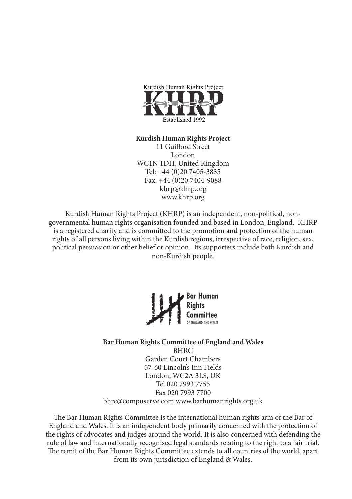

#### **Kurdish Human Rights Project**

11 Guilford Street London WC1N 1DH, United Kingdom Tel: +44 (0)20 7405-3835 Fax: +44 (0)20 7404-9088 khrp@khrp.org www.khrp.org

Kurdish Human Rights Project (KHRP) is an independent, non-political, nongovernmental human rights organisation founded and based in London, England. KHRP is a registered charity and is committed to the promotion and protection of the human rights of all persons living within the Kurdish regions, irrespective of race, religion, sex, political persuasion or other belief or opinion. Its supporters include both Kurdish and non-Kurdish people.



#### **Bar Human Rights Committee of England and Wales**

BHRC Garden Court Chambers 57-60 Lincoln's Inn Fields London, WC2A 3LS, UK Tel 020 7993 7755 Fax 020 7993 7700

bhrc@compuserve.com www.barhumanrights.org.uk

The Bar Human Rights Committee is the international human rights arm of the Bar of England and Wales. It is an independent body primarily concerned with the protection of the rights of advocates and judges around the world. It is also concerned with defending the rule of law and internationally recognised legal standards relating to the right to a fair trial. The remit of the Bar Human Rights Committee extends to all countries of the world, apart from its own jurisdiction of England & Wales.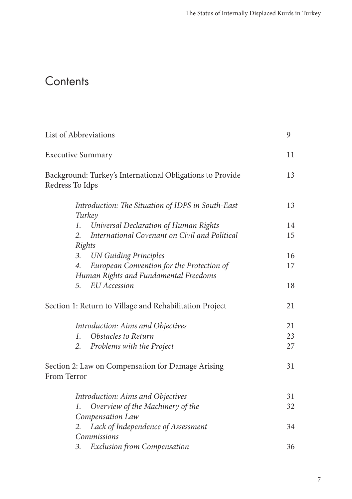### **Contents**

| List of Abbreviations<br><b>Executive Summary</b> |                                                             |    |                 |                                                           |
|---------------------------------------------------|-------------------------------------------------------------|----|-----------------|-----------------------------------------------------------|
|                                                   |                                                             |    | Redress To Idps | Background: Turkey's International Obligations to Provide |
|                                                   | Introduction: The Situation of IDPS in South-East<br>Turkey | 13 |                 |                                                           |
|                                                   | 1.<br>Universal Declaration of Human Rights                 | 14 |                 |                                                           |
| 2.                                                | International Covenant on Civil and Political               | 15 |                 |                                                           |
|                                                   | Rights                                                      |    |                 |                                                           |
|                                                   | <b>UN Guiding Principles</b><br>3.                          | 16 |                 |                                                           |
| 4.                                                | European Convention for the Protection of                   | 17 |                 |                                                           |
|                                                   | Human Rights and Fundamental Freedoms                       |    |                 |                                                           |
|                                                   | <b>EU</b> Accession<br>5 <sub>1</sub>                       | 18 |                 |                                                           |
|                                                   | Section 1: Return to Village and Rehabilitation Project     | 21 |                 |                                                           |
|                                                   | Introduction: Aims and Objectives                           | 21 |                 |                                                           |
|                                                   | 1. Obstacles to Return                                      | 23 |                 |                                                           |
|                                                   | Problems with the Project<br>2.                             | 27 |                 |                                                           |
| From Terror                                       | Section 2: Law on Compensation for Damage Arising           | 31 |                 |                                                           |
|                                                   | Introduction: Aims and Objectives                           | 31 |                 |                                                           |
| 1.                                                | Overview of the Machinery of the                            | 32 |                 |                                                           |
|                                                   | Compensation Law                                            |    |                 |                                                           |
|                                                   | Lack of Independence of Assessment<br>2.                    | 34 |                 |                                                           |
|                                                   | Commissions                                                 |    |                 |                                                           |
|                                                   | <b>Exclusion from Compensation</b><br>3.                    | 36 |                 |                                                           |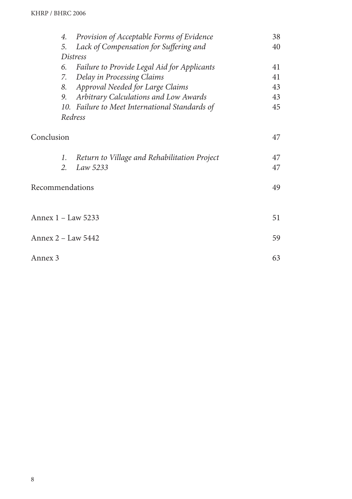|                    | 4.              | Provision of Acceptable Forms of Evidence      | 38 |
|--------------------|-----------------|------------------------------------------------|----|
|                    | 5.              | Lack of Compensation for Suffering and         | 40 |
|                    | <b>Distress</b> |                                                |    |
|                    | 6.              | Failure to Provide Legal Aid for Applicants    | 41 |
|                    | 7.              | Delay in Processing Claims                     | 41 |
|                    | 8.              | Approval Needed for Large Claims               | 43 |
|                    | 9.              | Arbitrary Calculations and Low Awards          | 43 |
|                    |                 | 10. Failure to Meet International Standards of | 45 |
|                    |                 | Redress                                        |    |
| Conclusion         |                 |                                                | 47 |
|                    | 1.              | Return to Village and Rehabilitation Project   | 47 |
|                    | 2.              | Law 5233                                       | 47 |
| Recommendations    |                 |                                                | 49 |
|                    |                 |                                                |    |
| Annex 1 – Law 5233 |                 |                                                | 51 |
| Annex 2 – Law 5442 |                 |                                                | 59 |
| Annex 3            |                 |                                                | 63 |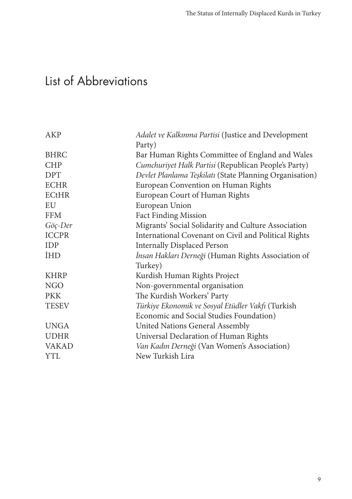# List of Abbreviations

| AKP          | Adalet ve Kalkınma Partisi (Justice and Development     |
|--------------|---------------------------------------------------------|
|              | Party)                                                  |
| <b>BHRC</b>  | Bar Human Rights Committee of England and Wales         |
| <b>CHP</b>   | Cumchuriyet Halk Partisi (Republican People's Party)    |
| <b>DPT</b>   | Devlet Planlama Teşkilatı (State Planning Organisation) |
| <b>ECHR</b>  | European Convention on Human Rights                     |
| <b>ECtHR</b> | European Court of Human Rights                          |
| EU           | European Union                                          |
| <b>FFM</b>   | <b>Fact Finding Mission</b>                             |
| Göç-Der      | Migrants' Social Solidarity and Culture Association     |
| <b>ICCPR</b> | International Covenant on Civil and Political Rights    |
| <b>IDP</b>   | <b>Internally Displaced Person</b>                      |
| <b>İHD</b>   | İnsan Hakları Derneği (Human Rights Association of      |
|              | Turkey)                                                 |
| <b>KHRP</b>  | Kurdish Human Rights Project                            |
| <b>NGO</b>   | Non-governmental organisation                           |
| <b>PKK</b>   | The Kurdish Workers' Party                              |
| <b>TESEV</b> | Türkiye Ekonomik ve Sosyal Etüdler Vakfı (Turkish       |
|              | Economic and Social Studies Foundation)                 |
| <b>UNGA</b>  | United Nations General Assembly                         |
| <b>UDHR</b>  | Universal Declaration of Human Rights                   |
| <b>VAKAD</b> | Van Kadın Derneği (Van Women's Association)             |
| <b>YTL</b>   | New Turkish Lira                                        |
|              |                                                         |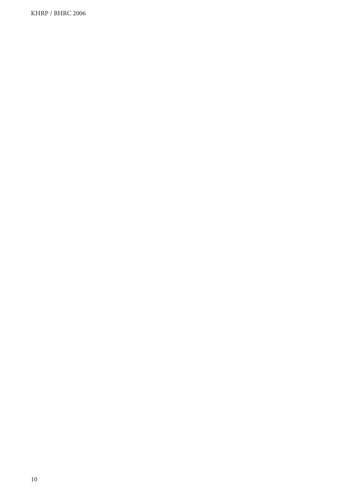KHRP / BHRC 2006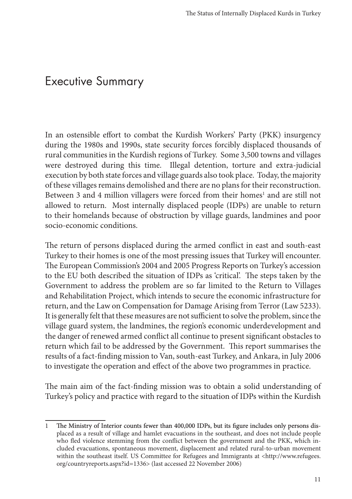### Executive Summary

In an ostensible effort to combat the Kurdish Workers' Party (PKK) insurgency during the 1980s and 1990s, state security forces forcibly displaced thousands of rural communities in the Kurdish regions of Turkey. Some 3,500 towns and villages were destroyed during this time. Illegal detention, torture and extra-judicial execution by both state forces and village guards also took place. Today, the majority of these villages remains demolished and there are no plans for their reconstruction. Between 3 and 4 million villagers were forced from their homes<sup>1</sup> and are still not allowed to return. Most internally displaced people (IDPs) are unable to return to their homelands because of obstruction by village guards, landmines and poor socio-economic conditions.

The return of persons displaced during the armed conflict in east and south-east Turkey to their homes is one of the most pressing issues that Turkey will encounter. The European Commission's 2004 and 2005 Progress Reports on Turkey's accession to the EU both described the situation of IDPs as 'critical'. The steps taken by the Government to address the problem are so far limited to the Return to Villages and Rehabilitation Project, which intends to secure the economic infrastructure for return, and the Law on Compensation for Damage Arising from Terror (Law 5233). It is generally felt that these measures are not sufficient to solve the problem, since the village guard system, the landmines, the region's economic underdevelopment and the danger of renewed armed conflict all continue to present significant obstacles to return which fail to be addressed by the Government. This report summarises the results of a fact-finding mission to Van, south-east Turkey, and Ankara, in July 2006 to investigate the operation and effect of the above two programmes in practice.

The main aim of the fact-finding mission was to obtain a solid understanding of Turkey's policy and practice with regard to the situation of IDPs within the Kurdish

The Ministry of Interior counts fewer than 400,000 IDPs, but its figure includes only persons displaced as a result of village and hamlet evacuations in the southeast, and does not include people who fled violence stemming from the conflict between the government and the PKK, which included evacuations, spontaneous movement, displacement and related rural-to-urban movement within the southeast itself. US Committee for Refugees and Immigrants at <http://www.refugees. org/countryreports.aspx?id=1336> (last accessed 22 November 2006)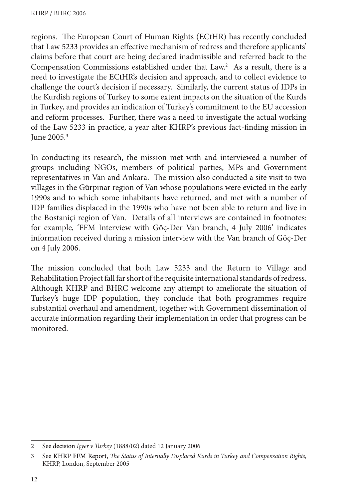regions. The European Court of Human Rights (ECtHR) has recently concluded that Law 5233 provides an effective mechanism of redress and therefore applicants' claims before that court are being declared inadmissible and referred back to the Compensation Commissions established under that Law.2 As a result, there is a need to investigate the ECtHR's decision and approach, and to collect evidence to challenge the court's decision if necessary. Similarly, the current status of IDPs in the Kurdish regions of Turkey to some extent impacts on the situation of the Kurds in Turkey, and provides an indication of Turkey's commitment to the EU accession and reform processes. Further, there was a need to investigate the actual working of the Law 5233 in practice, a year after KHRP's previous fact-finding mission in June 2005.3

In conducting its research, the mission met with and interviewed a number of groups including NGOs, members of political parties, MPs and Government representatives in Van and Ankara. The mission also conducted a site visit to two villages in the Gürpınar region of Van whose populations were evicted in the early 1990s and to which some inhabitants have returned, and met with a number of IDP families displaced in the 1990s who have not been able to return and live in the Bostaniçi region of Van. Details of all interviews are contained in footnotes: for example, 'FFM Interview with Göç-Der Van branch, 4 July 2006' indicates information received during a mission interview with the Van branch of Göç-Der on 4 July 2006.

The mission concluded that both Law 5233 and the Return to Village and Rehabilitation Project fall far short of the requisite international standards of redress. Although KHRP and BHRC welcome any attempt to ameliorate the situation of Turkey's huge IDP population, they conclude that both programmes require substantial overhaul and amendment, together with Government dissemination of accurate information regarding their implementation in order that progress can be monitored.

<sup>2</sup> See decision *İçyer v Turkey* (1888/02) dated 12 January 2006

<sup>3</sup> See KHRP FFM Report, See KHRP FFM Report, *The Status of Internally Displaced Kurds in Turkey and Compensation Rights*, KHRP, London, September 2005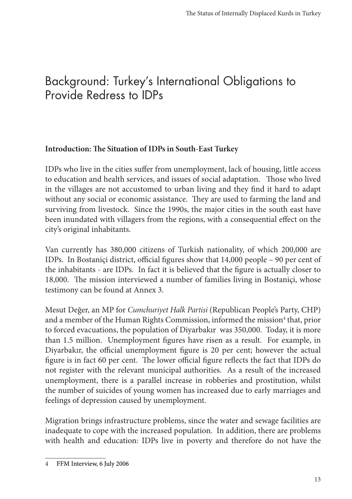# Background: Turkey's International Obligations to Provide Redress to IDPs

#### **Introduction: The Situation of IDPs in South-East Turkey**

IDPs who live in the cities suffer from unemployment, lack of housing, little access to education and health services, and issues of social adaptation. Those who lived in the villages are not accustomed to urban living and they find it hard to adapt without any social or economic assistance. They are used to farming the land and surviving from livestock. Since the 1990s, the major cities in the south east have been inundated with villagers from the regions, with a consequential effect on the city's original inhabitants.

Van currently has 380,000 citizens of Turkish nationality, of which 200,000 are IDPs. In Bostaniçi district, official figures show that 14,000 people – 90 per cent of the inhabitants - are IDPs. In fact it is believed that the figure is actually closer to 18,000. The mission interviewed a number of families living in Bostaniçi, whose testimony can be found at Annex 3.

Mesut Değer, an MP for *Cumchuriyet Halk Partisi* (Republican People's Party, CHP) and a member of the Human Rights Commission, informed the mission<sup>4</sup> that, prior to forced evacuations, the population of Diyarbakır was 350,000. Today, it is more than 1.5 million. Unemployment figures have risen as a result. For example, in Diyarbakır, the official unemployment figure is 20 per cent; however the actual figure is in fact 60 per cent. The lower official figure reflects the fact that IDPs do not register with the relevant municipal authorities. As a result of the increased unemployment, there is a parallel increase in robberies and prostitution, whilst the number of suicides of young women has increased due to early marriages and feelings of depression caused by unemployment.

Migration brings infrastructure problems, since the water and sewage facilities are inadequate to cope with the increased population. In addition, there are problems with health and education: IDPs live in poverty and therefore do not have the

<sup>4</sup> FFM Interview, 6 July 2006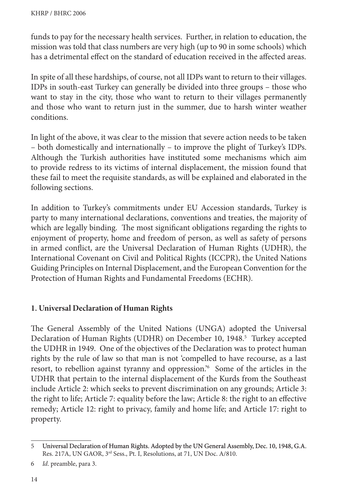funds to pay for the necessary health services. Further, in relation to education, the mission was told that class numbers are very high (up to 90 in some schools) which has a detrimental effect on the standard of education received in the affected areas.

In spite of all these hardships, of course, not all IDPs want to return to their villages. IDPs in south-east Turkey can generally be divided into three groups – those who want to stay in the city, those who want to return to their villages permanently and those who want to return just in the summer, due to harsh winter weather conditions.

In light of the above, it was clear to the mission that severe action needs to be taken – both domestically and internationally – to improve the plight of Turkey's IDPs. Although the Turkish authorities have instituted some mechanisms which aim to provide redress to its victims of internal displacement, the mission found that these fail to meet the requisite standards, as will be explained and elaborated in the following sections.

In addition to Turkey's commitments under EU Accession standards, Turkey is party to many international declarations, conventions and treaties, the majority of which are legally binding. The most significant obligations regarding the rights to enjoyment of property, home and freedom of person, as well as safety of persons in armed conflict, are the Universal Declaration of Human Rights (UDHR), the International Covenant on Civil and Political Rights (ICCPR), the United Nations Guiding Principles on Internal Displacement, and the European Convention for the Protection of Human Rights and Fundamental Freedoms (ECHR).

#### **1. Universal Declaration of Human Rights**

The General Assembly of the United Nations (UNGA) adopted the Universal Declaration of Human Rights (UDHR) on December 10, 1948.<sup>5</sup> Turkey accepted the UDHR in 1949. One of the objectives of the Declaration was to protect human rights by the rule of law so that man is not 'compelled to have recourse, as a last resort, to rebellion against tyranny and oppression.'6 Some of the articles in the UDHR that pertain to the internal displacement of the Kurds from the Southeast include Article 2: which seeks to prevent discrimination on any grounds; Article 3: the right to life; Article 7: equality before the law; Article 8: the right to an effective remedy; Article 12: right to privacy, family and home life; and Article 17: right to property.

Universal Declaration of Human Rights. Adopted by the UN General Assembly, Dec. 10, 1948, G.A. Res. 217A, UN GAOR, 3rd Sess., Pt. I, Resolutions, at 71, UN Doc. A/810.

<sup>6</sup> *Id*. preamble, para 3.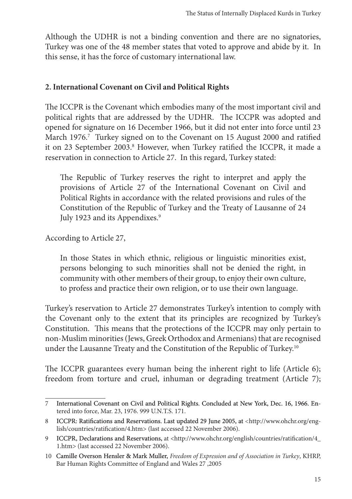Although the UDHR is not a binding convention and there are no signatories, Turkey was one of the 48 member states that voted to approve and abide by it. In this sense, it has the force of customary international law.

#### **2. International Covenant on Civil and Political Rights**

The ICCPR is the Covenant which embodies many of the most important civil and political rights that are addressed by the UDHR. The ICCPR was adopted and opened for signature on 16 December 1966, but it did not enter into force until 23 March 1976.<sup>7</sup> Turkey signed on to the Covenant on 15 August 2000 and ratified it on 23 September 2003.8 However, when Turkey ratified the ICCPR, it made a reservation in connection to Article 27. In this regard, Turkey stated:

The Republic of Turkey reserves the right to interpret and apply the provisions of Article 27 of the International Covenant on Civil and Political Rights in accordance with the related provisions and rules of the Constitution of the Republic of Turkey and the Treaty of Lausanne of 24 July 1923 and its Appendixes.<sup>9</sup>

According to Article 27,

In those States in which ethnic, religious or linguistic minorities exist, persons belonging to such minorities shall not be denied the right, in community with other members of their group, to enjoy their own culture, to profess and practice their own religion, or to use their own language.

Turkey's reservation to Article 27 demonstrates Turkey's intention to comply with the Covenant only to the extent that its principles are recognized by Turkey's Constitution. This means that the protections of the ICCPR may only pertain to non-Muslim minorities (Jews, Greek Orthodox and Armenians) that are recognised under the Lausanne Treaty and the Constitution of the Republic of Turkey.<sup>10</sup>

The ICCPR guarantees every human being the inherent right to life (Article 6); freedom from torture and cruel, inhuman or degrading treatment (Article 7);

<sup>7</sup> International Covenant on Civil and Political Rights. Concluded at New York, Dec. 16, 1966. Entered into force, Mar. 23, 1976. 999 U.N.T.S. 171.

<sup>8</sup> ICCPR: Ratifications and Reservations. Last updated 29 June 2005, at <http://www.ohchr.org/english/countries/ratification/4.htm> (last accessed 22 November 2006).

<sup>9</sup> ICCPR, Declarations and Reservations, at <http://www.ohchr.org/english/countries/ratification/4 1.htm> (last accessed 22 November 2006).

<sup>10</sup> Camille Overson Hensler & Mark Muller, *Freedom of Expression and of Association in Turkey*, KHRP, Bar Human Rights Committee of England and Wales 27 ,2005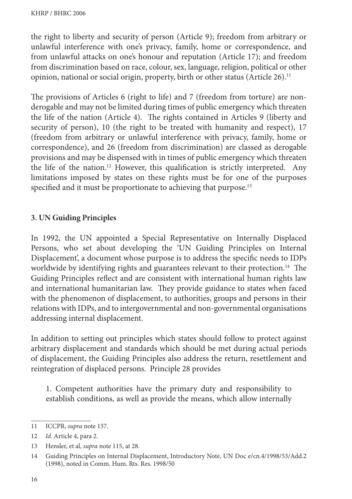the right to liberty and security of person (Article 9); freedom from arbitrary or unlawful interference with one's privacy, family, home or correspondence, and from unlawful attacks on one's honour and reputation (Article 17); and freedom from discrimination based on race, colour, sex, language, religion, political or other opinion, national or social origin, property, birth or other status (Article 26).<sup>11</sup>

The provisions of Articles 6 (right to life) and 7 (freedom from torture) are nonderogable and may not be limited during times of public emergency which threaten the life of the nation (Article 4). The rights contained in Articles 9 (liberty and security of person), 10 (the right to be treated with humanity and respect), 17 (freedom from arbitrary or unlawful interference with privacy, family, home or correspondence), and 26 (freedom from discrimination) are classed as derogable provisions and may be dispensed with in times of public emergency which threaten the life of the nation.<sup>12</sup> However, this qualification is strictly interpreted. Any limitations imposed by states on these rights must be for one of the purposes specified and it must be proportionate to achieving that purpose.<sup>13</sup>

#### **3. UN Guiding Principles**

In 1992, the UN appointed a Special Representative on Internally Displaced Persons, who set about developing the 'UN Guiding Principles on Internal Displacement', a document whose purpose is to address the specific needs to IDPs worldwide by identifying rights and guarantees relevant to their protection.<sup>14</sup> The Guiding Principles reflect and are consistent with international human rights law and international humanitarian law. They provide guidance to states when faced with the phenomenon of displacement, to authorities, groups and persons in their relations with IDPs, and to intergovernmental and non-governmental organisations addressing internal displacement.

In addition to setting out principles which states should follow to protect against arbitrary displacement and standards which should be met during actual periods of displacement, the Guiding Principles also address the return, resettlement and reintegration of displaced persons. Principle 28 provides

1. Competent authorities have the primary duty and responsibility to establish conditions, as well as provide the means, which allow internally

<sup>11</sup> ICCPR, *supra* note 157.

<sup>12</sup> *Id.* Article 4, para 2.

<sup>13</sup> Hensler, et al, *supra* note 115, at 28.

<sup>14</sup> Guiding Principles on Internal Displacement, Introductory Note, UN Doc e/cn.4/1998/53/Add.2 (1998), noted in Comm. Hum. Rts. Res. 1998/50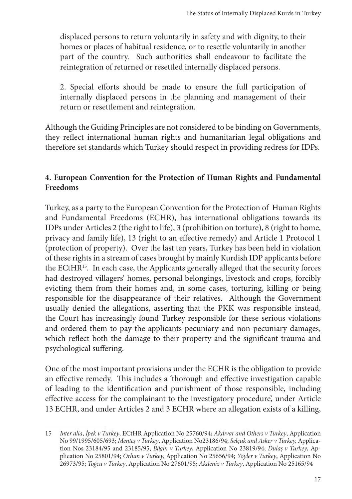displaced persons to return voluntarily in safety and with dignity, to their homes or places of habitual residence, or to resettle voluntarily in another part of the country. Such authorities shall endeavour to facilitate the reintegration of returned or resettled internally displaced persons.

2. Special efforts should be made to ensure the full participation of internally displaced persons in the planning and management of their return or resettlement and reintegration.

Although the Guiding Principles are not considered to be binding on Governments, they reflect international human rights and humanitarian legal obligations and therefore set standards which Turkey should respect in providing redress for IDPs.

#### **4. European Convention for the Protection of Human Rights and Fundamental Freedoms**

Turkey, as a party to the European Convention for the Protection of Human Rights and Fundamental Freedoms (ECHR), has international obligations towards its IDPs under Articles 2 (the right to life), 3 (prohibition on torture), 8 (right to home, privacy and family life), 13 (right to an effective remedy) and Article 1 Protocol 1 (protection of property). Over the last ten years, Turkey has been held in violation of these rights in a stream of cases brought by mainly Kurdish IDP applicants before the ECtHR15. In each case, the Applicants generally alleged that the security forces had destroyed villagers' homes, personal belongings, livestock and crops, forcibly evicting them from their homes and, in some cases, torturing, killing or being responsible for the disappearance of their relatives. Although the Government usually denied the allegations, asserting that the PKK was responsible instead, the Court has increasingly found Turkey responsible for these serious violations and ordered them to pay the applicants pecuniary and non-pecuniary damages, which reflect both the damage to their property and the significant trauma and psychological suffering.

One of the most important provisions under the ECHR is the obligation to provide an effective remedy. This includes a 'thorough and effective investigation capable of leading to the identification and punishment of those responsible, including effective access for the complainant to the investigatory procedure', under Article 13 ECHR, and under Articles 2 and 3 ECHR where an allegation exists of a killing,

<sup>15</sup> *Inter alia*, *İpek v Turkey*, ECtHR Application No 25760/94; *Akdıvar and Others v Turkey*, Application No 99/1995/605/693; *Menteş v Turkey*, Application No23186/94; *Selçuk and Asker v Turkey,* Application Nos 23184/95 and 23185/95, *Bilgin v Turkey*, Application No 23819/94; *Dulaş v Turkey*, Application No 25801/94; *Orhan v Turkey,* Application No 25656/94; *Yöyler v Turkey*, Application No 26973/95; *Toğcu v Turkey*, Application No 27601/95; *Akdeniz v Turkey*, Application No 25165/94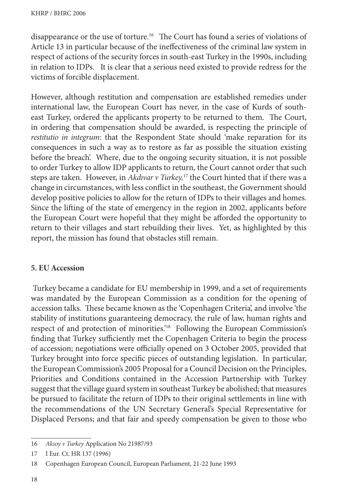disappearance or the use of torture.16 The Court has found a series of violations of Article 13 in particular because of the ineffectiveness of the criminal law system in respect of actions of the security forces in south-east Turkey in the 1990s, including in relation to IDPs. It is clear that a serious need existed to provide redress for the victims of forcible displacement.

However, although restitution and compensation are established remedies under international law, the European Court has never, in the case of Kurds of southeast Turkey, ordered the applicants property to be returned to them. The Court, in ordering that compensation should be awarded, is respecting the principle of *restitutio in integrum*: that the Respondent State should 'make reparation for its consequences in such a way as to restore as far as possible the situation existing before the breach'. Where, due to the ongoing security situation, it is not possible to order Turkey to allow IDP applicants to return, the Court cannot order that such steps are taken. However, in *Akdıvar v Turkey,*<sup>17</sup> the Court hinted that if there was a change in circumstances, with less conflict in the southeast, the Government should develop positive policies to allow for the return of IDPs to their villages and homes. Since the lifting of the state of emergency in the region in 2002, applicants before the European Court were hopeful that they might be afforded the opportunity to return to their villages and start rebuilding their lives. Yet, as highlighted by this report, the mission has found that obstacles still remain.

#### **5. EU Accession**

 Turkey became a candidate for EU membership in 1999, and a set of requirements was mandated by the European Commission as a condition for the opening of accession talks. These became known as the 'Copenhagen Criteria', and involve 'the stability of institutions guaranteeing democracy, the rule of law, human rights and respect of and protection of minorities.'18 Following the European Commission's finding that Turkey sufficiently met the Copenhagen Criteria to begin the process of accession; negotiations were officially opened on 3 October 2005, provided that Turkey brought into force specific pieces of outstanding legislation. In particular, the European Commission's 2005 Proposal for a Council Decision on the Principles, Priorities and Conditions contained in the Accession Partnership with Turkey suggest that the village guard system in southeast Turkey be abolished; that measures be pursued to facilitate the return of IDPs to their original settlements in line with the recommendations of the UN Secretary General's Special Representative for Displaced Persons; and that fair and speedy compensation be given to those who

<sup>16</sup> *Aksoy v Turkey* Application No 21987/93

<sup>17</sup> I Eur. Ct. HR 137 (1996)

<sup>18</sup> Copenhagen European Council, European Parliament, 21-22 June 1993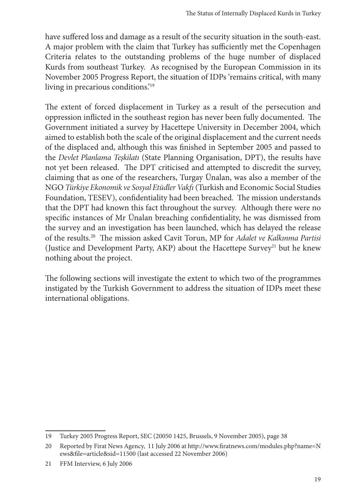have suffered loss and damage as a result of the security situation in the south-east. A major problem with the claim that Turkey has sufficiently met the Copenhagen Criteria relates to the outstanding problems of the huge number of displaced Kurds from southeast Turkey. As recognised by the European Commission in its November 2005 Progress Report, the situation of IDPs 'remains critical, with many living in precarious conditions.'19

The extent of forced displacement in Turkey as a result of the persecution and oppression inflicted in the southeast region has never been fully documented. The Government initiated a survey by Hacettepe University in December 2004, which aimed to establish both the scale of the original displacement and the current needs of the displaced and, although this was finished in September 2005 and passed to the *Devlet Planlama Teşkilatı* (State Planning Organisation, DPT), the results have not yet been released. The DPT criticised and attempted to discredit the survey, claiming that as one of the researchers, Turgay Ünalan, was also a member of the NGO *Türkiye Ekonomik ve Sosyal Etüdler Vakfı* (Turkish and Economic Social Studies Foundation, TESEV), confidentiality had been breached. The mission understands that the DPT had known this fact throughout the survey. Although there were no specific instances of Mr Ünalan breaching confidentiality, he was dismissed from the survey and an investigation has been launched, which has delayed the release of the results.20 The mission asked Cavit Torun, MP for *Adalet ve Kalkınma Partisi* (Justice and Development Party, AKP) about the Hacettepe Survey<sup>21</sup> but he knew nothing about the project.

The following sections will investigate the extent to which two of the programmes instigated by the Turkish Government to address the situation of IDPs meet these international obligations.

<sup>19</sup> Turkey 2005 Progress Report, SEC (20050 1425, Brussels, 9 November 2005), page 38

<sup>20</sup> Reported by Firat News Agency, 11 July 2006 at http://www.firatnews.com/modules.php?name=N ews&file=article&sid=11500 (last accessed 22 November 2006)

<sup>21</sup> FFM Interview, 6 July 2006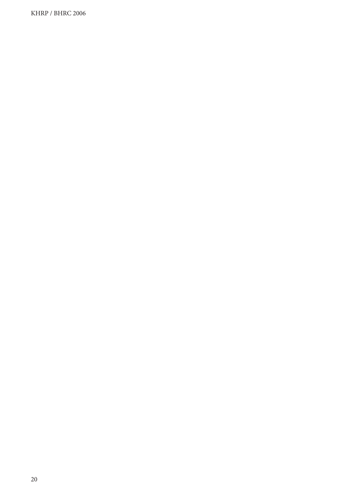KHRP / BHRC 2006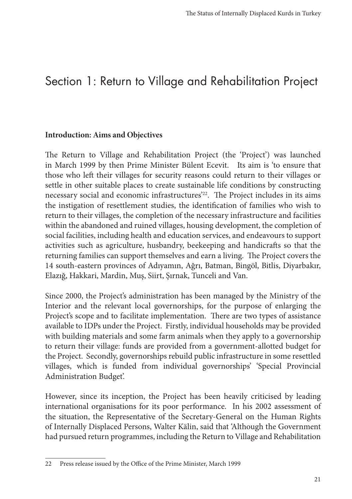# Section 1: Return to Village and Rehabilitation Project

#### **Introduction: Aims and Objectives**

The Return to Village and Rehabilitation Project (the 'Project') was launched in March 1999 by then Prime Minister Bülent Ecevit. Its aim is 'to ensure that those who left their villages for security reasons could return to their villages or settle in other suitable places to create sustainable life conditions by constructing necessary social and economic infrastructures'22. The Project includes in its aims the instigation of resettlement studies, the identification of families who wish to return to their villages, the completion of the necessary infrastructure and facilities within the abandoned and ruined villages, housing development, the completion of social facilities, including health and education services, and endeavours to support activities such as agriculture, husbandry, beekeeping and handicrafts so that the returning families can support themselves and earn a living. The Project covers the 14 south-eastern provinces of Adıyamın, Ağrı, Batman, Bingöl, Bitlis, Diyarbakır, Elazığ, Hakkari, Mardin, Muş, Siirt, Şırnak, Tunceli and Van.

Since 2000, the Project's administration has been managed by the Ministry of the Interior and the relevant local governorships, for the purpose of enlarging the Project's scope and to facilitate implementation. There are two types of assistance available to IDPs under the Project. Firstly, individual households may be provided with building materials and some farm animals when they apply to a governorship to return their village: funds are provided from a government-allotted budget for the Project. Secondly, governorships rebuild public infrastructure in some resettled villages, which is funded from individual governorships' 'Special Provincial Administration Budget'.

However, since its inception, the Project has been heavily criticised by leading international organisations for its poor performance. In his 2002 assessment of the situation, the Representative of the Secretary-General on the Human Rights of Internally Displaced Persons, Walter Kälin, said that 'Although the Government had pursued return programmes, including the Return to Village and Rehabilitation

<sup>22</sup> Press release issued by the Office of the Prime Minister, March 1999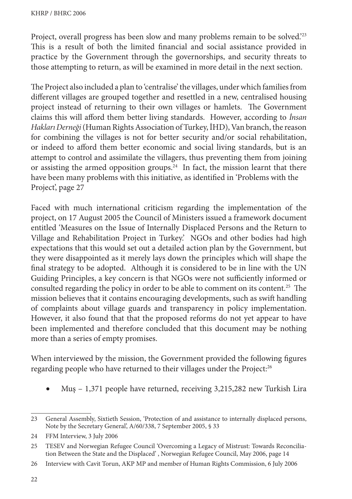Project, overall progress has been slow and many problems remain to be solved.<sup>23</sup> This is a result of both the limited financial and social assistance provided in practice by the Government through the governorships, and security threats to those attempting to return, as will be examined in more detail in the next section.

The Project also included a plan to 'centralise' the villages, under which families from different villages are grouped together and resettled in a new, centralised housing project instead of returning to their own villages or hamlets. The Government claims this will afford them better living standards. However, according to *İnsan Hakları Derneği* (Human Rights Association of Turkey, İHD), Van branch, the reason for combining the villages is not for better security and/or social rehabilitation, or indeed to afford them better economic and social living standards, but is an attempt to control and assimilate the villagers, thus preventing them from joining or assisting the armed opposition groups.<sup>24</sup> In fact, the mission learnt that there have been many problems with this initiative, as identified in 'Problems with the Project', page 27

Faced with much international criticism regarding the implementation of the project, on 17 August 2005 the Council of Ministers issued a framework document entitled 'Measures on the Issue of Internally Displaced Persons and the Return to Village and Rehabilitation Project in Turkey.' NGOs and other bodies had high expectations that this would set out a detailed action plan by the Government, but they were disappointed as it merely lays down the principles which will shape the final strategy to be adopted. Although it is considered to be in line with the UN Guiding Principles, a key concern is that NGOs were not sufficiently informed or consulted regarding the policy in order to be able to comment on its content.<sup>25</sup> The mission believes that it contains encouraging developments, such as swift handling of complaints about village guards and transparency in policy implementation. However, it also found that that the proposed reforms do not yet appear to have been implemented and therefore concluded that this document may be nothing more than a series of empty promises.

When interviewed by the mission, the Government provided the following figures regarding people who have returned to their villages under the Project:<sup>26</sup>

Muş – 1,371 people have returned, receiving 3,215,282 new Turkish Lira

<sup>23</sup> General Assembly, Sixtieth Session, 'Protection of and assistance to internally displaced persons, Note by the Secretary General', A/60/338, 7 September 2005, § 33

<sup>24</sup> FFM Interview, 3 July 2006

<sup>25</sup> TESEV and Norwegian Refugee Council 'Overcoming a Legacy of Mistrust: Towards Reconciliation Between the State and the Displaced' , Norwegian Refugee Council, May 2006, page 14

<sup>26</sup> Interview with Cavit Torun, AKP MP and member of Human Rights Commission, 6 July 2006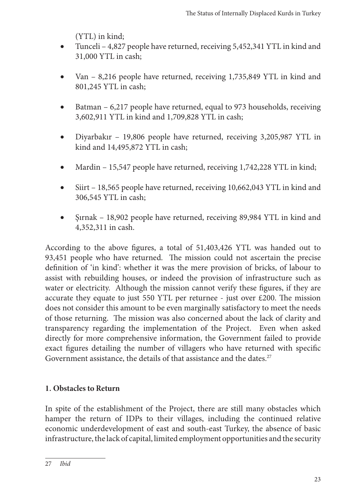(YTL) in kind;

- Tunceli 4,827 people have returned, receiving 5,452,341 YTL in kind and 31,000 YTL in cash;
- Van  $-$  8,216 people have returned, receiving 1,735,849 YTL in kind and 801,245 YTL in cash;
- Batman 6,217 people have returned, equal to 973 households, receiving 3,602,911 YTL in kind and 1,709,828 YTL in cash;
- Diyarbakır 19,806 people have returned, receiving 3,205,987 YTL in kind and 14,495,872 YTL in cash;
- Mardin 15,547 people have returned, receiving 1,742,228 YTL in kind;
- Siirt 18,565 people have returned, receiving 10,662,043 YTL in kind and 306,545 YTL in cash;
- Sirnak 18,902 people have returned, receiving 89,984 YTL in kind and 4,352,311 in cash.

According to the above figures, a total of 51,403,426 YTL was handed out to 93,451 people who have returned. The mission could not ascertain the precise definition of 'in kind': whether it was the mere provision of bricks, of labour to assist with rebuilding houses, or indeed the provision of infrastructure such as water or electricity. Although the mission cannot verify these figures, if they are accurate they equate to just 550 YTL per returnee - just over £200. The mission does not consider this amount to be even marginally satisfactory to meet the needs of those returning. The mission was also concerned about the lack of clarity and transparency regarding the implementation of the Project. Even when asked directly for more comprehensive information, the Government failed to provide exact figures detailing the number of villagers who have returned with specific Government assistance, the details of that assistance and the dates.<sup>27</sup>

#### **1. Obstacles to Return**

In spite of the establishment of the Project, there are still many obstacles which hamper the return of IDPs to their villages, including the continued relative economic underdevelopment of east and south-east Turkey, the absence of basic infrastructure, the lack of capital, limited employment opportunities and the security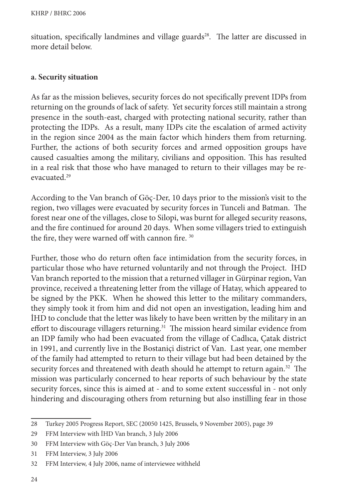situation, specifically landmines and village guards<sup>28</sup>. The latter are discussed in more detail below.

#### **a. Security situation**

As far as the mission believes, security forces do not specifically prevent IDPs from returning on the grounds of lack of safety. Yet security forces still maintain a strong presence in the south-east, charged with protecting national security, rather than protecting the IDPs. As a result, many IDPs cite the escalation of armed activity in the region since 2004 as the main factor which hinders them from returning. Further, the actions of both security forces and armed opposition groups have caused casualties among the military, civilians and opposition. This has resulted in a real risk that those who have managed to return to their villages may be reevacuated.29

According to the Van branch of Göç-Der, 10 days prior to the mission's visit to the region, two villages were evacuated by security forces in Tunceli and Batman. The forest near one of the villages, close to Silopi, was burnt for alleged security reasons, and the fire continued for around 20 days. When some villagers tried to extinguish the fire, they were warned off with cannon fire.<sup>30</sup>

Further, those who do return often face intimidation from the security forces, in particular those who have returned voluntarily and not through the Project. İHD Van branch reported to the mission that a returned villager in Gürpinar region, Van province, received a threatening letter from the village of Hatay, which appeared to be signed by the PKK. When he showed this letter to the military commanders, they simply took it from him and did not open an investigation, leading him and İHD to conclude that the letter was likely to have been written by the military in an effort to discourage villagers returning.<sup>31</sup> The mission heard similar evidence from an IDP family who had been evacuated from the village of Cadlıca, Çatak district in 1991, and currently live in the Bostaniçi district of Van. Last year, one member of the family had attempted to return to their village but had been detained by the security forces and threatened with death should he attempt to return again.<sup>32</sup> The mission was particularly concerned to hear reports of such behaviour by the state security forces, since this is aimed at - and to some extent successful in - not only hindering and discouraging others from returning but also instilling fear in those

<sup>28</sup> Turkey 2005 Progress Report, SEC (20050 1425, Brussels, 9 November 2005), page 39

<sup>29</sup> FFM Interview with İHD Van branch, 3 July 2006

<sup>30</sup> FFM Interview with Göç-Der Van branch, 3 July 2006

<sup>31</sup> FFM Interview, 3 July 2006

<sup>32</sup> FFM Interview, 4 July 2006, name of interviewee withheld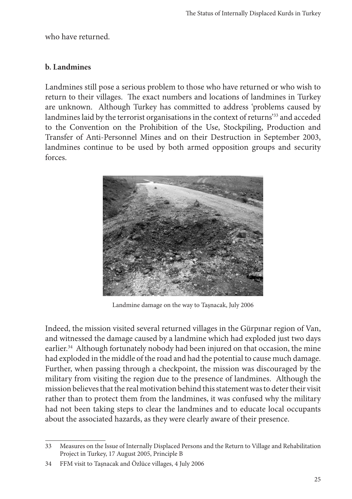who have returned.

#### **b. Landmines**

Landmines still pose a serious problem to those who have returned or who wish to return to their villages. The exact numbers and locations of landmines in Turkey are unknown. Although Turkey has committed to address 'problems caused by landmines laid by the terrorist organisations in the context of returns'33 and acceded to the Convention on the Prohibition of the Use, Stockpiling, Production and Transfer of Anti-Personnel Mines and on their Destruction in September 2003, landmines continue to be used by both armed opposition groups and security forces.



Landmine damage on the way to Taşnacak, July 2006

Indeed, the mission visited several returned villages in the Gürpınar region of Van, and witnessed the damage caused by a landmine which had exploded just two days earlier.<sup>34</sup> Although fortunately nobody had been injured on that occasion, the mine had exploded in the middle of the road and had the potential to cause much damage. Further, when passing through a checkpoint, the mission was discouraged by the military from visiting the region due to the presence of landmines. Although the mission believes that the real motivation behind this statement was to deter their visit rather than to protect them from the landmines, it was confused why the military had not been taking steps to clear the landmines and to educate local occupants about the associated hazards, as they were clearly aware of their presence.

<sup>33</sup> Measures on the Issue of Internally Displaced Persons and the Return to Village and Rehabilitation Project in Turkey, 17 August 2005, Principle B

<sup>34</sup> FFM visit to Taşnacak and Özlüce villages, 4 July 2006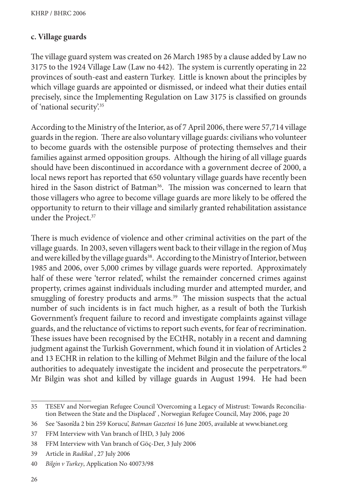#### **c. Village guards**

The village guard system was created on 26 March 1985 by a clause added by Law no 3175 to the 1924 Village Law (Law no 442). The system is currently operating in 22 provinces of south-east and eastern Turkey. Little is known about the principles by which village guards are appointed or dismissed, or indeed what their duties entail precisely, since the Implementing Regulation on Law 3175 is classified on grounds of 'national security'.35

According to the Ministry of the Interior, as of 7 April 2006, there were 57,714 village guards in the region. There are also voluntary village guards: civilians who volunteer to become guards with the ostensible purpose of protecting themselves and their families against armed opposition groups. Although the hiring of all village guards should have been discontinued in accordance with a government decree of 2000, a local news report has reported that 650 voluntary village guards have recently been hired in the Sason district of Batman<sup>36</sup>. The mission was concerned to learn that those villagers who agree to become village guards are more likely to be offered the opportunity to return to their village and similarly granted rehabilitation assistance under the Project.37

There is much evidence of violence and other criminal activities on the part of the village guards. In 2003, seven villagers went back to their village in the region of Muş and were killed by the village guards<sup>38</sup>. According to the Ministry of Interior, between 1985 and 2006, over 5,000 crimes by village guards were reported. Approximately half of these were 'terror related', whilst the remainder concerned crimes against property, crimes against individuals including murder and attempted murder, and smuggling of forestry products and arms.<sup>39</sup> The mission suspects that the actual number of such incidents is in fact much higher, as a result of both the Turkish Government's frequent failure to record and investigate complaints against village guards, and the reluctance of victims to report such events, for fear of recrimination. These issues have been recognised by the ECtHR, notably in a recent and damning judgment against the Turkish Government, which found it in violation of Articles 2 and 13 ECHR in relation to the killing of Mehmet Bilgin and the failure of the local authorities to adequately investigate the incident and prosecute the perpetrators.40 Mr Bilgin was shot and killed by village guards in August 1994. He had been

<sup>35</sup> TESEV and Norwegian Refugee Council 'Overcoming a Legacy of Mistrust: Towards Reconciliation Between the State and the Displaced' , Norwegian Refugee Council, May 2006, page 20

<sup>36</sup> See 'Sason'da 2 bin 259 Korucu', *Batman Gazetesi* 16 June 2005, available at www.bianet.org

<sup>37</sup> FFM Interview with Van branch of İHD, 3 July 2006

<sup>38</sup> FFM Interview with Van branch of Göç-Der, 3 July 2006

<sup>39</sup> Article in *Radikal* , 27 July 2006

<sup>40</sup> *Bilgin v Turkey*, Application No 40073/98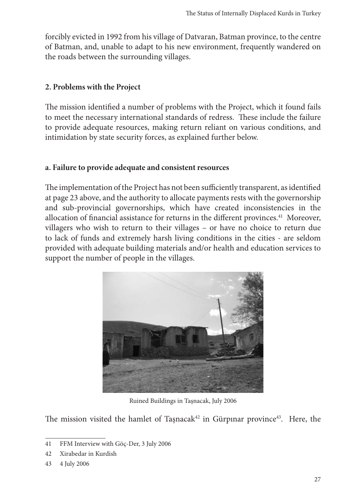forcibly evicted in 1992 from his village of Datvaran, Batman province, to the centre of Batman, and, unable to adapt to his new environment, frequently wandered on the roads between the surrounding villages.

#### **2. Problems with the Project**

The mission identified a number of problems with the Project, which it found fails to meet the necessary international standards of redress. These include the failure to provide adequate resources, making return reliant on various conditions, and intimidation by state security forces, as explained further below.

#### **a. Failure to provide adequate and consistent resources**

The implementation of the Project has not been sufficiently transparent, as identified at page 23 above, and the authority to allocate payments rests with the governorship and sub-provincial governorships, which have created inconsistencies in the allocation of financial assistance for returns in the different provinces.<sup>41</sup> Moreover, villagers who wish to return to their villages – or have no choice to return due to lack of funds and extremely harsh living conditions in the cities - are seldom provided with adequate building materials and/or health and education services to support the number of people in the villages.



Ruined Buildings in Taşnacak, July 2006

The mission visited the hamlet of Tasnacak<sup>42</sup> in Gürpinar province<sup>43</sup>. Here, the

<sup>41</sup> FFM Interview with Göç-Der, 3 July 2006

<sup>42</sup> Xirabedar in Kurdish

<sup>43 4</sup> July 2006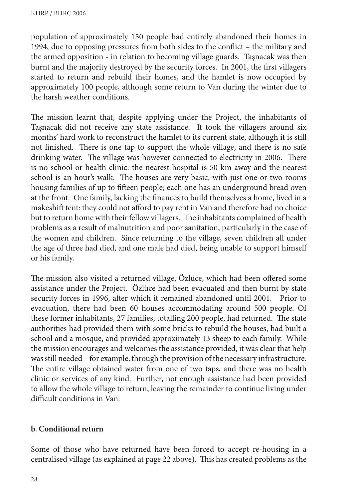population of approximately 150 people had entirely abandoned their homes in 1994, due to opposing pressures from both sides to the conflict – the military and the armed opposition - in relation to becoming village guards. Taşnacak was then burnt and the majority destroyed by the security forces. In 2001, the first villagers started to return and rebuild their homes, and the hamlet is now occupied by approximately 100 people, although some return to Van during the winter due to the harsh weather conditions.

The mission learnt that, despite applying under the Project, the inhabitants of Taşnacak did not receive any state assistance. It took the villagers around six months' hard work to reconstruct the hamlet to its current state, although it is still not finished. There is one tap to support the whole village, and there is no safe drinking water. The village was however connected to electricity in 2006. There is no school or health clinic: the nearest hospital is 50 km away and the nearest school is an hour's walk. The houses are very basic, with just one or two rooms housing families of up to fifteen people; each one has an underground bread oven at the front. One family, lacking the finances to build themselves a home, lived in a makeshift tent: they could not afford to pay rent in Van and therefore had no choice but to return home with their fellow villagers. The inhabitants complained of health problems as a result of malnutrition and poor sanitation, particularly in the case of the women and children. Since returning to the village, seven children all under the age of three had died, and one male had died, being unable to support himself or his family.

The mission also visited a returned village, Özlüce, which had been offered some assistance under the Project. Özlüce had been evacuated and then burnt by state security forces in 1996, after which it remained abandoned until 2001. Prior to evacuation, there had been 60 houses accommodating around 500 people. Of these former inhabitants, 27 families, totalling 200 people, had returned. The state authorities had provided them with some bricks to rebuild the houses, had built a school and a mosque, and provided approximately 13 sheep to each family. While the mission encourages and welcomes the assistance provided, it was clear that help was still needed – for example, through the provision of the necessary infrastructure. The entire village obtained water from one of two taps, and there was no health clinic or services of any kind. Further, not enough assistance had been provided to allow the whole village to return, leaving the remainder to continue living under difficult conditions in Van.

#### **b. Conditional return**

Some of those who have returned have been forced to accept re-housing in a centralised village (as explained at page 22 above). This has created problems as the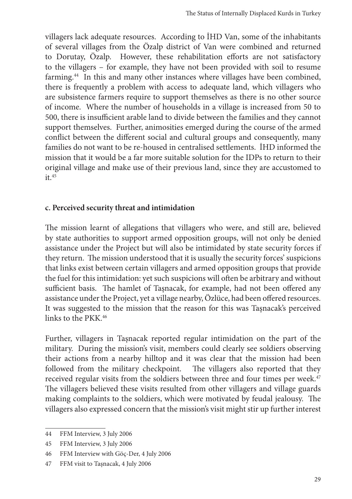villagers lack adequate resources. According to İHD Van, some of the inhabitants of several villages from the Özalp district of Van were combined and returned to Dorutay, Özalp. However, these rehabilitation efforts are not satisfactory to the villagers – for example, they have not been provided with soil to resume farming.<sup>44</sup> In this and many other instances where villages have been combined, there is frequently a problem with access to adequate land, which villagers who are subsistence farmers require to support themselves as there is no other source of income. Where the number of households in a village is increased from 50 to 500, there is insufficient arable land to divide between the families and they cannot support themselves. Further, animosities emerged during the course of the armed conflict between the different social and cultural groups and consequently, many families do not want to be re-housed in centralised settlements. İHD informed the mission that it would be a far more suitable solution for the IDPs to return to their original village and make use of their previous land, since they are accustomed to it.45

#### **c. Perceived security threat and intimidation**

The mission learnt of allegations that villagers who were, and still are, believed by state authorities to support armed opposition groups, will not only be denied assistance under the Project but will also be intimidated by state security forces if they return. The mission understood that it is usually the security forces' suspicions that links exist between certain villagers and armed opposition groups that provide the fuel for this intimidation: yet such suspicions will often be arbitrary and without sufficient basis. The hamlet of Taşnacak, for example, had not been offered any assistance under the Project, yet a village nearby, Özlüce, had been offered resources. It was suggested to the mission that the reason for this was Taşnacak's perceived links to the PKK<sup>46</sup>

Further, villagers in Taşnacak reported regular intimidation on the part of the military. During the mission's visit, members could clearly see soldiers observing their actions from a nearby hilltop and it was clear that the mission had been followed from the military checkpoint. The villagers also reported that they received regular visits from the soldiers between three and four times per week.<sup>47</sup> The villagers believed these visits resulted from other villagers and village guards making complaints to the soldiers, which were motivated by feudal jealousy. The villagers also expressed concern that the mission's visit might stir up further interest

<sup>44</sup> FFM Interview, 3 July 2006

<sup>45</sup> FFM Interview, 3 July 2006

<sup>46</sup> FFM Interview with Göç-Der, 4 July 2006

<sup>47</sup> FFM visit to Taşnacak, 4 July 2006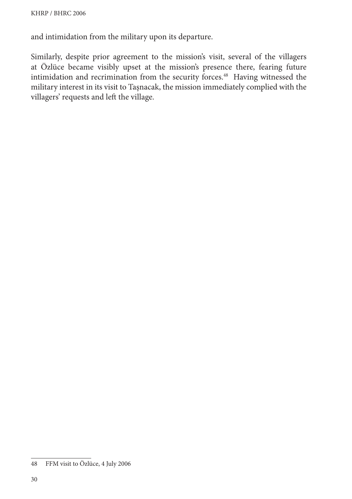and intimidation from the military upon its departure.

Similarly, despite prior agreement to the mission's visit, several of the villagers at Özlüce became visibly upset at the mission's presence there, fearing future intimidation and recrimination from the security forces.<sup>48</sup> Having witnessed the military interest in its visit to Taşnacak, the mission immediately complied with the villagers' requests and left the village.

<sup>48</sup> FFM visit to Özlüce, 4 July 2006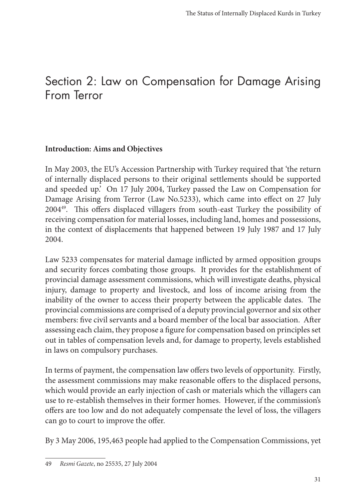### Section 2: Law on Compensation for Damage Arising From Terror

#### **Introduction: Aims and Objectives**

In May 2003, the EU's Accession Partnership with Turkey required that 'the return of internally displaced persons to their original settlements should be supported and speeded up.' On 17 July 2004, Turkey passed the Law on Compensation for Damage Arising from Terror (Law No.5233), which came into effect on 27 July 200449. This offers displaced villagers from south-east Turkey the possibility of receiving compensation for material losses, including land, homes and possessions, in the context of displacements that happened between 19 July 1987 and 17 July 2004.

Law 5233 compensates for material damage inflicted by armed opposition groups and security forces combating those groups. It provides for the establishment of provincial damage assessment commissions, which will investigate deaths, physical injury, damage to property and livestock, and loss of income arising from the inability of the owner to access their property between the applicable dates. The provincial commissions are comprised of a deputy provincial governor and six other members: five civil servants and a board member of the local bar association. After assessing each claim, they propose a figure for compensation based on principles set out in tables of compensation levels and, for damage to property, levels established in laws on compulsory purchases.

In terms of payment, the compensation law offers two levels of opportunity. Firstly, the assessment commissions may make reasonable offers to the displaced persons, which would provide an early injection of cash or materials which the villagers can use to re-establish themselves in their former homes. However, if the commission's offers are too low and do not adequately compensate the level of loss, the villagers can go to court to improve the offer.

By 3 May 2006, 195,463 people had applied to the Compensation Commissions, yet

<sup>49</sup> *Resmi Gazete*, no 25535, 27 July 2004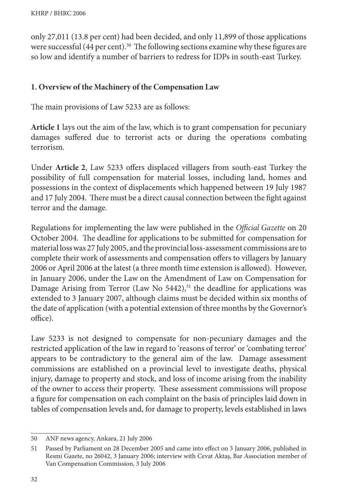only 27,011 (13.8 per cent) had been decided, and only 11,899 of those applications were successful (44 per cent).<sup>50</sup> The following sections examine why these figures are so low and identify a number of barriers to redress for IDPs in south-east Turkey.

#### **1. Overview of the Machinery of the Compensation Law**

The main provisions of Law 5233 are as follows:

**Article 1** lays out the aim of the law, which is to grant compensation for pecuniary damages suffered due to terrorist acts or during the operations combating terrorism.

Under **Article 2**, Law 5233 offers displaced villagers from south-east Turkey the possibility of full compensation for material losses, including land, homes and possessions in the context of displacements which happened between 19 July 1987 and 17 July 2004. There must be a direct causal connection between the fight against terror and the damage.

Regulations for implementing the law were published in the *Official Gazette* on 20 October 2004. The deadline for applications to be submitted for compensation for material loss was 27 July 2005, and the provincial loss-assessment commissions are to complete their work of assessments and compensation offers to villagers by January 2006 or April 2006 at the latest (a three month time extension is allowed). However, in January 2006, under the Law on the Amendment of Law on Compensation for Damage Arising from Terror (Law No  $5442$ ),<sup>51</sup> the deadline for applications was extended to 3 January 2007, although claims must be decided within six months of the date of application (with a potential extension of three months by the Governor's office).

Law 5233 is not designed to compensate for non-pecuniary damages and the restricted application of the law in regard to 'reasons of terror' or 'combating terror' appears to be contradictory to the general aim of the law. Damage assessment commissions are established on a provincial level to investigate deaths, physical injury, damage to property and stock, and loss of income arising from the inability of the owner to access their property. These assessment commissions will propose a figure for compensation on each complaint on the basis of principles laid down in tables of compensation levels and, for damage to property, levels established in laws

<sup>50</sup> ANF news agency, Ankara, 21 July 2006

<sup>51</sup> Passed by Parliament on 28 December 2005 and came into effect on 3 January 2006, published in Resmi Gazete, no 26042, 3 January 2006; interview with Cevat Aktaş, Bar Association member of Van Compensation Commission, 3 July 2006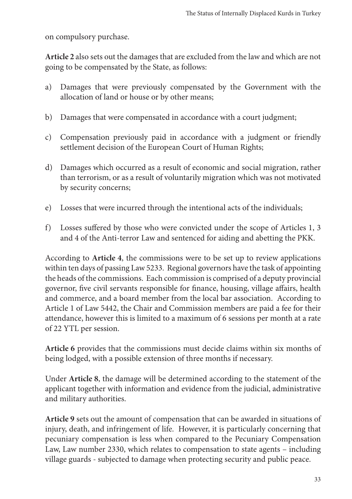on compulsory purchase.

**Article 2** also sets out the damages that are excluded from the law and which are not going to be compensated by the State, as follows:

- a) Damages that were previously compensated by the Government with the allocation of land or house or by other means;
- b) Damages that were compensated in accordance with a court judgment;
- c) Compensation previously paid in accordance with a judgment or friendly settlement decision of the European Court of Human Rights;
- d) Damages which occurred as a result of economic and social migration, rather than terrorism, or as a result of voluntarily migration which was not motivated by security concerns;
- e) Losses that were incurred through the intentional acts of the individuals;
- f) Losses suffered by those who were convicted under the scope of Articles 1, 3 and 4 of the Anti-terror Law and sentenced for aiding and abetting the PKK.

According to **Article 4**, the commissions were to be set up to review applications within ten days of passing Law 5233. Regional governors have the task of appointing the heads of the commissions. Each commission is comprised of a deputy provincial governor, five civil servants responsible for finance, housing, village affairs, health and commerce, and a board member from the local bar association. According to Article 1 of Law 5442, the Chair and Commission members are paid a fee for their attendance, however this is limited to a maximum of 6 sessions per month at a rate of 22 YTL per session.

**Article 6** provides that the commissions must decide claims within six months of being lodged, with a possible extension of three months if necessary.

Under **Article 8**, the damage will be determined according to the statement of the applicant together with information and evidence from the judicial, administrative and military authorities.

**Article 9** sets out the amount of compensation that can be awarded in situations of injury, death, and infringement of life. However, it is particularly concerning that pecuniary compensation is less when compared to the Pecuniary Compensation Law, Law number 2330, which relates to compensation to state agents – including village guards - subjected to damage when protecting security and public peace.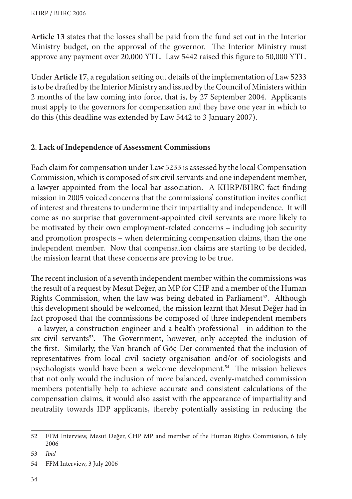**Article 13** states that the losses shall be paid from the fund set out in the Interior Ministry budget, on the approval of the governor. The Interior Ministry must approve any payment over 20,000 YTL. Law 5442 raised this figure to 50,000 YTL.

Under **Article 17**, a regulation setting out details of the implementation of Law 5233 is to be drafted by the Interior Ministry and issued by the Council of Ministers within 2 months of the law coming into force, that is, by 27 September 2004. Applicants must apply to the governors for compensation and they have one year in which to do this (this deadline was extended by Law 5442 to 3 January 2007).

#### **2. Lack of Independence of Assessment Commissions**

Each claim for compensation under Law 5233 is assessed by the local Compensation Commission, which is composed of six civil servants and one independent member, a lawyer appointed from the local bar association. A KHRP/BHRC fact-finding mission in 2005 voiced concerns that the commissions' constitution invites conflict of interest and threatens to undermine their impartiality and independence. It will come as no surprise that government-appointed civil servants are more likely to be motivated by their own employment-related concerns – including job security and promotion prospects – when determining compensation claims, than the one independent member. Now that compensation claims are starting to be decided, the mission learnt that these concerns are proving to be true.

The recent inclusion of a seventh independent member within the commissions was the result of a request by Mesut Değer, an MP for CHP and a member of the Human Rights Commission, when the law was being debated in Parliament<sup>52</sup>. Although this development should be welcomed, the mission learnt that Mesut Değer had in fact proposed that the commissions be composed of three independent members – a lawyer, a construction engineer and a health professional - in addition to the six civil servants<sup>53</sup>. The Government, however, only accepted the inclusion of the first. Similarly, the Van branch of Göç-Der commented that the inclusion of representatives from local civil society organisation and/or of sociologists and psychologists would have been a welcome development.<sup>54</sup> The mission believes that not only would the inclusion of more balanced, evenly-matched commission members potentially help to achieve accurate and consistent calculations of the compensation claims, it would also assist with the appearance of impartiality and neutrality towards IDP applicants, thereby potentially assisting in reducing the

<sup>52</sup> FFM Interview, Mesut Değer, CHP MP and member of the Human Rights Commission, 6 July 2006

<sup>53</sup> *Ibid*

<sup>54</sup> FFM Interview, 3 July 2006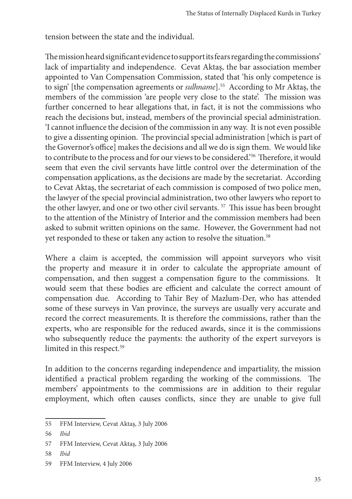tension between the state and the individual.

The mission heard significant evidence to support its fears regarding the commissions' lack of impartiality and independence. Cevat Aktaş, the bar association member appointed to Van Compensation Commission, stated that 'his only competence is to sign' [the compensation agreements or *sulhname*].55 According to Mr Aktaş, the members of the commission 'are people very close to the state'. The mission was further concerned to hear allegations that, in fact, it is not the commissions who reach the decisions but, instead, members of the provincial special administration. 'I cannot influence the decision of the commission in any way. It is not even possible to give a dissenting opinion. The provincial special administration [which is part of the Governor's office] makes the decisions and all we do is sign them. We would like to contribute to the process and for our views to be considered.'56 Therefore, it would seem that even the civil servants have little control over the determination of the compensation applications, as the decisions are made by the secretariat. According to Cevat Aktaş, the secretariat of each commission is composed of two police men, the lawyer of the special provincial administration, two other lawyers who report to the other lawyer, and one or two other civil servants. 57 This issue has been brought to the attention of the Ministry of Interior and the commission members had been asked to submit written opinions on the same. However, the Government had not yet responded to these or taken any action to resolve the situation.<sup>58</sup>

Where a claim is accepted, the commission will appoint surveyors who visit the property and measure it in order to calculate the appropriate amount of compensation, and then suggest a compensation figure to the commissions. It would seem that these bodies are efficient and calculate the correct amount of compensation due. According to Tahir Bey of Mazlum-Der, who has attended some of these surveys in Van province, the surveys are usually very accurate and record the correct measurements. It is therefore the commissions, rather than the experts, who are responsible for the reduced awards, since it is the commissions who subsequently reduce the payments: the authority of the expert surveyors is limited in this respect.<sup>59</sup>

In addition to the concerns regarding independence and impartiality, the mission identified a practical problem regarding the working of the commissions. The members' appointments to the commissions are in addition to their regular employment, which often causes conflicts, since they are unable to give full

<sup>55</sup> FFM Interview, Cevat Aktaş, 3 July 2006

<sup>56</sup> *Ibid*

<sup>57</sup> FFM Interview, Cevat Aktaş, 3 July 2006

<sup>58</sup> *Ibid*

<sup>59</sup> FFM Interview, 4 July 2006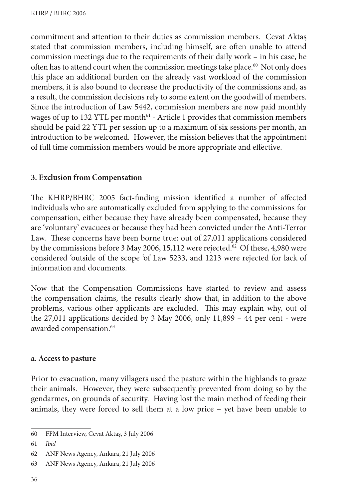commitment and attention to their duties as commission members. Cevat Aktaş stated that commission members, including himself, are often unable to attend commission meetings due to the requirements of their daily work – in his case, he often has to attend court when the commission meetings take place.<sup>60</sup> Not only does this place an additional burden on the already vast workload of the commission members, it is also bound to decrease the productivity of the commissions and, as a result, the commission decisions rely to some extent on the goodwill of members. Since the introduction of Law 5442, commission members are now paid monthly wages of up to 132 YTL per month<sup>61</sup> - Article 1 provides that commission members should be paid 22 YTL per session up to a maximum of six sessions per month, an introduction to be welcomed. However, the mission believes that the appointment of full time commission members would be more appropriate and effective.

#### **3. Exclusion from Compensation**

The KHRP/BHRC 2005 fact-finding mission identified a number of affected individuals who are automatically excluded from applying to the commissions for compensation, either because they have already been compensated, because they are 'voluntary' evacuees or because they had been convicted under the Anti-Terror Law. These concerns have been borne true: out of 27,011 applications considered by the commissions before 3 May 2006, 15,112 were rejected.<sup>62</sup> Of these, 4,980 were considered 'outside of the scope 'of Law 5233, and 1213 were rejected for lack of information and documents.

Now that the Compensation Commissions have started to review and assess the compensation claims, the results clearly show that, in addition to the above problems, various other applicants are excluded. This may explain why, out of the 27,011 applications decided by 3 May 2006, only 11,899 – 44 per cent - were awarded compensation.<sup>63</sup>

#### **a. Access to pasture**

Prior to evacuation, many villagers used the pasture within the highlands to graze their animals. However, they were subsequently prevented from doing so by the gendarmes, on grounds of security. Having lost the main method of feeding their animals, they were forced to sell them at a low price – yet have been unable to

<sup>60</sup> FFM Interview, Cevat Aktaş, 3 July 2006

<sup>61</sup> *Ibid*

<sup>62</sup> ANF News Agency, Ankara, 21 July 2006

<sup>63</sup> ANF News Agency, Ankara, 21 July 2006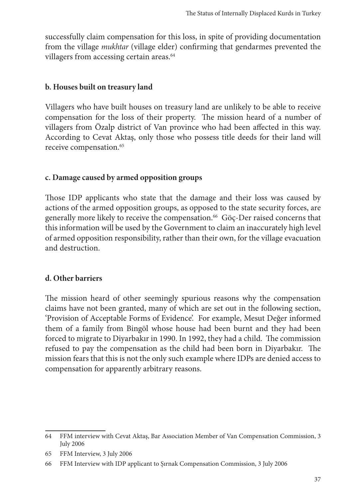successfully claim compensation for this loss, in spite of providing documentation from the village *mukhtar* (village elder) confirming that gendarmes prevented the villagers from accessing certain areas.<sup>64</sup>

#### **b. Houses built on treasury land**

Villagers who have built houses on treasury land are unlikely to be able to receive compensation for the loss of their property. The mission heard of a number of villagers from Özalp district of Van province who had been affected in this way. According to Cevat Aktaş, only those who possess title deeds for their land will receive compensation.<sup>65</sup>

#### **c. Damage caused by armed opposition groups**

Those IDP applicants who state that the damage and their loss was caused by actions of the armed opposition groups, as opposed to the state security forces, are generally more likely to receive the compensation.<sup>66</sup> Göç-Der raised concerns that this information will be used by the Government to claim an inaccurately high level of armed opposition responsibility, rather than their own, for the village evacuation and destruction.

#### **d. Other barriers**

The mission heard of other seemingly spurious reasons why the compensation claims have not been granted, many of which are set out in the following section, 'Provision of Acceptable Forms of Evidence'. For example, Mesut Değer informed them of a family from Bingöl whose house had been burnt and they had been forced to migrate to Diyarbakır in 1990. In 1992, they had a child. The commission refused to pay the compensation as the child had been born in Diyarbakır. The mission fears that this is not the only such example where IDPs are denied access to compensation for apparently arbitrary reasons.

<sup>64</sup> FFM interview with Cevat Aktaş, Bar Association Member of Van Compensation Commission, 3 July 2006

<sup>65</sup> FFM Interview, 3 July 2006

<sup>66</sup> FFM Interview with IDP applicant to Şırnak Compensation Commission, 3 July 2006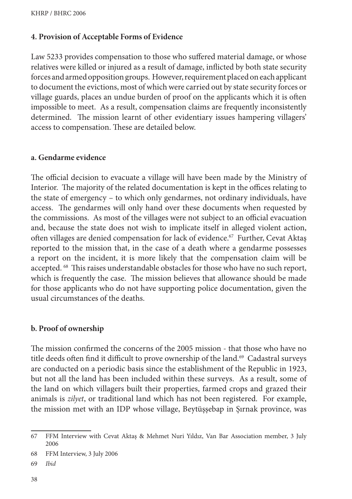#### **4. Provision of Acceptable Forms of Evidence**

Law 5233 provides compensation to those who suffered material damage, or whose relatives were killed or injured as a result of damage, inflicted by both state security forces and armed opposition groups. However, requirement placed on each applicant to document the evictions, most of which were carried out by state security forces or village guards, places an undue burden of proof on the applicants which it is often impossible to meet. As a result, compensation claims are frequently inconsistently determined. The mission learnt of other evidentiary issues hampering villagers' access to compensation. These are detailed below.

#### **a. Gendarme evidence**

The official decision to evacuate a village will have been made by the Ministry of Interior. The majority of the related documentation is kept in the offices relating to the state of emergency – to which only gendarmes, not ordinary individuals, have access. The gendarmes will only hand over these documents when requested by the commissions. As most of the villages were not subject to an official evacuation and, because the state does not wish to implicate itself in alleged violent action, often villages are denied compensation for lack of evidence.<sup>67</sup> Further, Cevat Aktaş reported to the mission that, in the case of a death where a gendarme possesses a report on the incident, it is more likely that the compensation claim will be accepted. 68 This raises understandable obstacles for those who have no such report, which is frequently the case. The mission believes that allowance should be made for those applicants who do not have supporting police documentation, given the usual circumstances of the deaths.

#### **b. Proof of ownership**

The mission confirmed the concerns of the 2005 mission - that those who have no title deeds often find it difficult to prove ownership of the land.<sup>69</sup> Cadastral surveys are conducted on a periodic basis since the establishment of the Republic in 1923, but not all the land has been included within these surveys. As a result, some of the land on which villagers built their properties, farmed crops and grazed their animals is *zilyet*, or traditional land which has not been registered. For example, the mission met with an IDP whose village, Beytüşşebap in Şırnak province, was

69 *Ibid*

<sup>67</sup> FFM Interview with Cevat Aktaş & Mehmet Nuri Yıldız, Van Bar Association member, 3 July 2006

<sup>68</sup> FFM Interview, 3 July 2006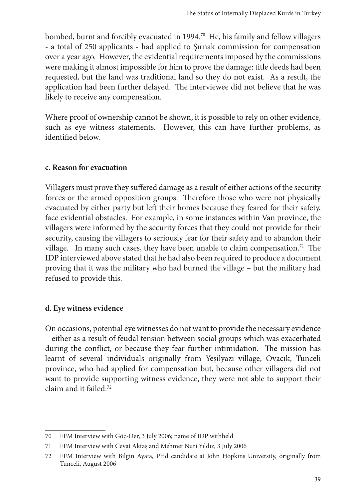bombed, burnt and forcibly evacuated in 1994.<sup>70</sup> He, his family and fellow villagers - a total of 250 applicants - had applied to Şırnak commission for compensation over a year ago. However, the evidential requirements imposed by the commissions were making it almost impossible for him to prove the damage: title deeds had been requested, but the land was traditional land so they do not exist. As a result, the application had been further delayed. The interviewee did not believe that he was likely to receive any compensation.

Where proof of ownership cannot be shown, it is possible to rely on other evidence, such as eye witness statements. However, this can have further problems, as identified below.

#### **c. Reason for evacuation**

Villagers must prove they suffered damage as a result of either actions of the security forces or the armed opposition groups. Therefore those who were not physically evacuated by either party but left their homes because they feared for their safety, face evidential obstacles. For example, in some instances within Van province, the villagers were informed by the security forces that they could not provide for their security, causing the villagers to seriously fear for their safety and to abandon their village. In many such cases, they have been unable to claim compensation.<sup>71</sup> The IDP interviewed above stated that he had also been required to produce a document proving that it was the military who had burned the village – but the military had refused to provide this.

#### **d. Eye witness evidence**

On occasions, potential eye witnesses do not want to provide the necessary evidence – either as a result of feudal tension between social groups which was exacerbated during the conflict, or because they fear further intimidation. The mission has learnt of several individuals originally from Yeşilyazı village, Ovacık, Tunceli province, who had applied for compensation but, because other villagers did not want to provide supporting witness evidence, they were not able to support their claim and it failed  $72$ 

<sup>70</sup> FFM Interview with Göç-Der, 3 July 2006; name of IDP withheld

<sup>71</sup> FFM Interview with Cevat Aktaş and Mehmet Nuri Yıldız, 3 July 2006

<sup>72</sup> FFM Interview with Bilgin Ayata, PHd candidate at John Hopkins University, originally from Tunceli, August 2006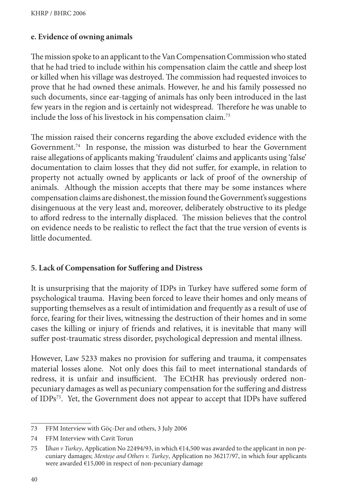#### **e. Evidence of owning animals**

The mission spoke to an applicant to the Van Compensation Commission who stated that he had tried to include within his compensation claim the cattle and sheep lost or killed when his village was destroyed. The commission had requested invoices to prove that he had owned these animals. However, he and his family possessed no such documents, since ear-tagging of animals has only been introduced in the last few years in the region and is certainly not widespread. Therefore he was unable to include the loss of his livestock in his compensation claim.73

The mission raised their concerns regarding the above excluded evidence with the Government.74 In response, the mission was disturbed to hear the Government raise allegations of applicants making 'fraudulent' claims and applicants using 'false' documentation to claim losses that they did not suffer, for example, in relation to property not actually owned by applicants or lack of proof of the ownership of animals. Although the mission accepts that there may be some instances where compensation claims are dishonest, the mission found the Government's suggestions disingenuous at the very least and, moreover, deliberately obstructive to its pledge to afford redress to the internally displaced. The mission believes that the control on evidence needs to be realistic to reflect the fact that the true version of events is little documented.

#### **5. Lack of Compensation for Suffering and Distress**

It is unsurprising that the majority of IDPs in Turkey have suffered some form of psychological trauma. Having been forced to leave their homes and only means of supporting themselves as a result of intimidation and frequently as a result of use of force, fearing for their lives, witnessing the destruction of their homes and in some cases the killing or injury of friends and relatives, it is inevitable that many will suffer post-traumatic stress disorder, psychological depression and mental illness.

However, Law 5233 makes no provision for suffering and trauma, it compensates material losses alone. Not only does this fail to meet international standards of redress, it is unfair and insufficient. The ECtHR has previously ordered nonpecuniary damages as well as pecuniary compensation for the suffering and distress of IDPs<sup>75</sup>. Yet, the Government does not appear to accept that IDPs have suffered

<sup>73</sup> FFM Interview with Göç-Der and others, 3 July 2006

<sup>74</sup> FFM Interview with Cavit Torun

<sup>75</sup> İ *lhan v Turkey*, Application No 22494/93, in which €14,500 was awarded to the applicant in non pecuniary damages; *Menteşe and Others v. Turkey*, Application no 36217/97, in which four applicants were awarded €15,000 in respect of non-pecuniary damage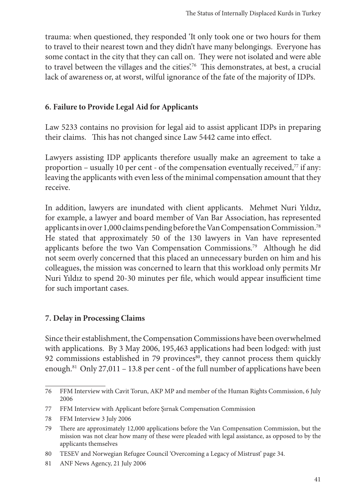trauma: when questioned, they responded 'It only took one or two hours for them to travel to their nearest town and they didn't have many belongings. Everyone has some contact in the city that they can call on. They were not isolated and were able to travel between the villages and the cities'.<sup>76</sup> This demonstrates, at best, a crucial lack of awareness or, at worst, wilful ignorance of the fate of the majority of IDPs.

#### **6. Failure to Provide Legal Aid for Applicants**

Law 5233 contains no provision for legal aid to assist applicant IDPs in preparing their claims. This has not changed since Law 5442 came into effect.

Lawyers assisting IDP applicants therefore usually make an agreement to take a proportion – usually 10 per cent - of the compensation eventually received, $77$  if any: leaving the applicants with even less of the minimal compensation amount that they receive.

In addition, lawyers are inundated with client applicants. Mehmet Nuri Yıldız, for example, a lawyer and board member of Van Bar Association, has represented applicants in over 1,000 claims pending before the Van Compensation Commission.78 He stated that approximately 50 of the 130 lawyers in Van have represented applicants before the two Van Compensation Commissions.79 Although he did not seem overly concerned that this placed an unnecessary burden on him and his colleagues, the mission was concerned to learn that this workload only permits Mr Nuri Yıldız to spend 20-30 minutes per file, which would appear insufficient time for such important cases.

#### **7. Delay in Processing Claims**

Since their establishment, the Compensation Commissions have been overwhelmed with applications. By 3 May 2006, 195,463 applications had been lodged: with just 92 commissions established in 79 provinces $^{80}$ , they cannot process them quickly enough.81 Only 27,011 – 13.8 per cent - of the full number of applications have been

<sup>76</sup> FFM Interview with Cavit Torun, AKP MP and member of the Human Rights Commission, 6 July 2006

<sup>77</sup> FFM Interview with Applicant before Şırnak Compensation Commission

<sup>78</sup> FFM Interview 3 July 2006

<sup>79</sup> There are approximately 12,000 applications before the Van Compensation Commission, but the mission was not clear how many of these were pleaded with legal assistance, as opposed to by the applicants themselves

<sup>80</sup> TESEV and Norwegian Refugee Council 'Overcoming a Legacy of Mistrust' page 34.

<sup>81</sup> ANF News Agency, 21 July 2006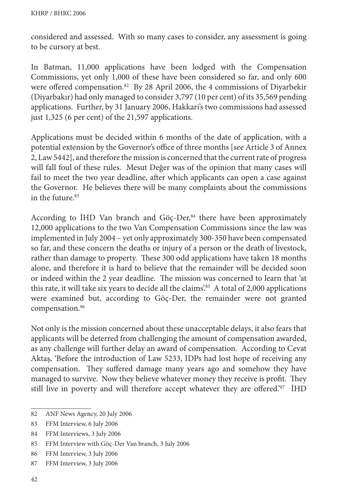considered and assessed. With so many cases to consider, any assessment is going to be cursory at best.

In Batman, 11,000 applications have been lodged with the Compensation Commissions, yet only 1,000 of these have been considered so far, and only 600 were offered compensation.<sup>82</sup> By 28 April 2006, the 4 commissions of Diyarbekir (Diyarbakır) had only managed to consider 3,797 (10 per cent) of its 35,569 pending applications. Further, by 31 January 2006, Hakkari's two commissions had assessed just 1,325 (6 per cent) of the 21,597 applications.

Applications must be decided within 6 months of the date of application, with a potential extension by the Governor's office of three months [see Article 3 of Annex 2, Law 5442], and therefore the mission is concerned that the current rate of progress will fall foul of these rules. Mesut Değer was of the opinion that many cases will fail to meet the two year deadline, after which applicants can open a case against the Governor. He believes there will be many complaints about the commissions in the future.<sup>83</sup>

According to İHD Van branch and Göç-Der,<sup>84</sup> there have been approximately 12,000 applications to the two Van Compensation Commissions since the law was implemented in July 2004 – yet only approximately 300-350 have been compensated so far, and these concern the deaths or injury of a person or the death of livestock, rather than damage to property. These 300 odd applications have taken 18 months alone, and therefore it is hard to believe that the remainder will be decided soon or indeed within the 2 year deadline. The mission was concerned to learn that 'at this rate, it will take six years to decide all the claims'.<sup>85</sup> A total of 2,000 applications were examined but, according to Göç-Der, the remainder were not granted compensation.86

Not only is the mission concerned about these unacceptable delays, it also fears that applicants will be deterred from challenging the amount of compensation awarded, as any challenge will further delay an award of compensation. According to Cevat Aktaş, 'Before the introduction of Law 5233, IDPs had lost hope of receiving any compensation. They suffered damage many years ago and somehow they have managed to survive. Now they believe whatever money they receive is profit. They still live in poverty and will therefore accept whatever they are offered.'<sup>87</sup> IHD

- 86 FFM Interview, 3 July 2006
- 87 FFM Interview, 3 July 2006

<sup>82</sup> ANF News Agency, 20 July 2006

<sup>83</sup> FFM Interview, 6 July 2006

<sup>84</sup> FFM Interviews, 3 July 2006

<sup>85</sup> FFM Interview with Göç-Der Van branch, 3 July 2006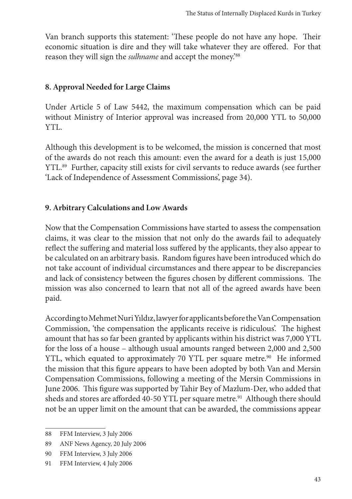Van branch supports this statement: 'These people do not have any hope. Their economic situation is dire and they will take whatever they are offered. For that reason they will sign the *sulhname* and accept the money.'88

#### **8. Approval Needed for Large Claims**

Under Article 5 of Law 5442, the maximum compensation which can be paid without Ministry of Interior approval was increased from 20,000 YTL to 50,000 YTL.

Although this development is to be welcomed, the mission is concerned that most of the awards do not reach this amount: even the award for a death is just 15,000 YTL.89 Further, capacity still exists for civil servants to reduce awards (see further 'Lack of Independence of Assessment Commissions', page 34).

#### **9. Arbitrary Calculations and Low Awards**

Now that the Compensation Commissions have started to assess the compensation claims, it was clear to the mission that not only do the awards fail to adequately reflect the suffering and material loss suffered by the applicants, they also appear to be calculated on an arbitrary basis. Random figures have been introduced which do not take account of individual circumstances and there appear to be discrepancies and lack of consistency between the figures chosen by different commissions. The mission was also concerned to learn that not all of the agreed awards have been paid.

According to Mehmet Nuri Yıldız, lawyer for applicants before the Van Compensation Commission, 'the compensation the applicants receive is ridiculous'. The highest amount that has so far been granted by applicants within his district was 7,000 YTL for the loss of a house – although usual amounts ranged between 2,000 and 2,500 YTL, which equated to approximately 70 YTL per square metre.<sup>90</sup> He informed the mission that this figure appears to have been adopted by both Van and Mersin Compensation Commissions, following a meeting of the Mersin Commissions in June 2006. This figure was supported by Tahir Bey of Mazlum-Der, who added that sheds and stores are afforded 40-50 YTL per square metre.<sup>91</sup> Although there should not be an upper limit on the amount that can be awarded, the commissions appear

<sup>88</sup> FFM Interview, 3 July 2006

<sup>89</sup> ANF News Agency, 20 July 2006

<sup>90</sup> FFM Interview, 3 July 2006

<sup>91</sup> FFM Interview, 4 July 2006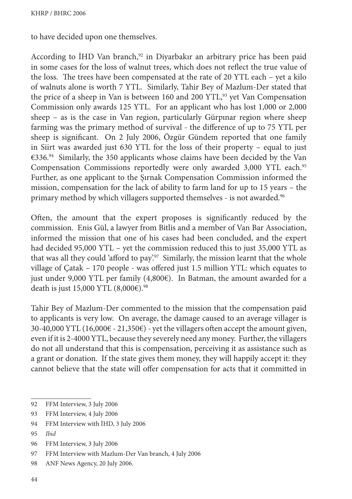to have decided upon one themselves.

According to İHD Van branch,<sup>92</sup> in Diyarbakır an arbitrary price has been paid in some cases for the loss of walnut trees, which does not reflect the true value of the loss. The trees have been compensated at the rate of 20 YTL each – yet a kilo of walnuts alone is worth 7 YTL. Similarly, Tahir Bey of Mazlum-Der stated that the price of a sheep in Van is between 160 and 200 YTL, $^{93}$  yet Van Compensation Commission only awards 125 YTL. For an applicant who has lost 1,000 or 2,000 sheep – as is the case in Van region, particularly Gürpınar region where sheep farming was the primary method of survival - the difference of up to 75 YTL per sheep is significant. On 2 July 2006, Özgür Gündem reported that one family in Siirt was awarded just 630 YTL for the loss of their property – equal to just  $€336<sup>94</sup>$  Similarly, the 350 applicants whose claims have been decided by the Van Compensation Commissions reportedly were only awarded 3,000 YTL each.95 Further, as one applicant to the Şırnak Compensation Commission informed the mission, compensation for the lack of ability to farm land for up to 15 years – the primary method by which villagers supported themselves - is not awarded.<sup>96</sup>

Often, the amount that the expert proposes is significantly reduced by the commission. Enis Gül, a lawyer from Bitlis and a member of Van Bar Association, informed the mission that one of his cases had been concluded, and the expert had decided 95,000 YTL – yet the commission reduced this to just 35,000 YTL as that was all they could 'afford to pay'.<sup>97</sup> Similarly, the mission learnt that the whole village of Çatak – 170 people - was offered just 1.5 million YTL: which equates to just under 9,000 YTL per family (4,800€). In Batman, the amount awarded for a death is just 15,000 YTL (8,000€).98

Tahir Bey of Mazlum-Der commented to the mission that the compensation paid to applicants is very low. On average, the damage caused to an average villager is 30-40,000 YTL (16,000 $\epsilon$  - 21,350 $\epsilon$ ) - yet the villagers often accept the amount given, even if it is 2-4000 YTL, because they severely need any money. Further, the villagers do not all understand that this is compensation, perceiving it as assistance such as a grant or donation. If the state gives them money, they will happily accept it: they cannot believe that the state will offer compensation for acts that it committed in

- 94 FFM Interview with İHD, 3 July 2006
- 95 *Ibid*
- 96 FFM Interview, 3 July 2006
- 97 FFM Interview with Mazlum-Der Van branch, 4 July 2006
- 98 ANF News Agency, 20 July 2006.

<sup>92</sup> FFM Interview, 3 July 2006

<sup>93</sup> FFM Interview, 4 July 2006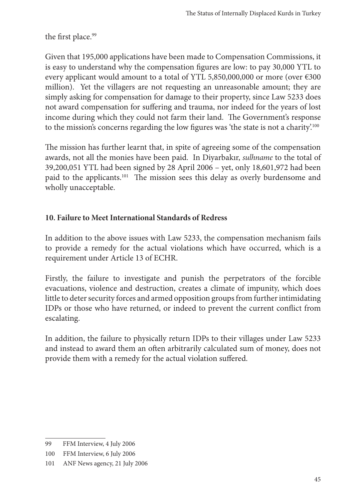the first place.<sup>99</sup>

Given that 195,000 applications have been made to Compensation Commissions, it is easy to understand why the compensation figures are low: to pay 30,000 YTL to every applicant would amount to a total of YTL 5,850,000,000 or more (over €300 million). Yet the villagers are not requesting an unreasonable amount; they are simply asking for compensation for damage to their property, since Law 5233 does not award compensation for suffering and trauma, nor indeed for the years of lost income during which they could not farm their land. The Government's response to the mission's concerns regarding the low figures was 'the state is not a charity'.<sup>100</sup>

The mission has further learnt that, in spite of agreeing some of the compensation awards, not all the monies have been paid. In Diyarbakır, *sulhname* to the total of 39,200,051 YTL had been signed by 28 April 2006 – yet, only 18,601,972 had been paid to the applicants.<sup>101</sup> The mission sees this delay as overly burdensome and wholly unacceptable.

#### **10. Failure to Meet International Standards of Redress**

In addition to the above issues with Law 5233, the compensation mechanism fails to provide a remedy for the actual violations which have occurred, which is a requirement under Article 13 of ECHR.

Firstly, the failure to investigate and punish the perpetrators of the forcible evacuations, violence and destruction, creates a climate of impunity, which does little to deter security forces and armed opposition groups from further intimidating IDPs or those who have returned, or indeed to prevent the current conflict from escalating.

In addition, the failure to physically return IDPs to their villages under Law 5233 and instead to award them an often arbitrarily calculated sum of money, does not provide them with a remedy for the actual violation suffered.

<sup>99</sup> FFM Interview, 4 July 2006

<sup>100</sup> FFM Interview, 6 July 2006

<sup>101</sup> ANF News agency, 21 July 2006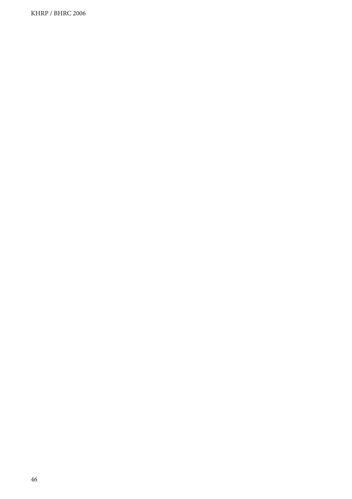KHRP / BHRC 2006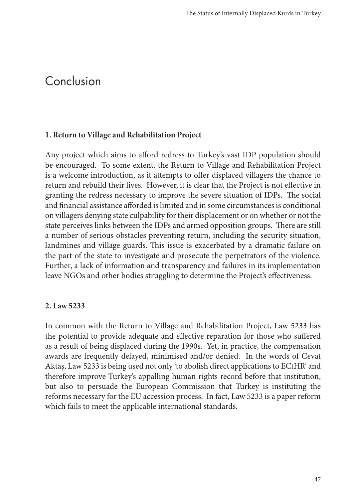### Conclusion

#### **1. Return to Village and Rehabilitation Project**

Any project which aims to afford redress to Turkey's vast IDP population should be encouraged. To some extent, the Return to Village and Rehabilitation Project is a welcome introduction, as it attempts to offer displaced villagers the chance to return and rebuild their lives. However, it is clear that the Project is not effective in granting the redress necessary to improve the severe situation of IDPs. The social and financial assistance afforded is limited and in some circumstances is conditional on villagers denying state culpability for their displacement or on whether or not the state perceives links between the IDPs and armed opposition groups. There are still a number of serious obstacles preventing return, including the security situation, landmines and village guards. This issue is exacerbated by a dramatic failure on the part of the state to investigate and prosecute the perpetrators of the violence. Further, a lack of information and transparency and failures in its implementation leave NGOs and other bodies struggling to determine the Project's effectiveness.

#### **2. Law 5233**

In common with the Return to Village and Rehabilitation Project, Law 5233 has the potential to provide adequate and effective reparation for those who suffered as a result of being displaced during the 1990s. Yet, in practice, the compensation awards are frequently delayed, minimised and/or denied. In the words of Cevat Aktaş, Law 5233 is being used not only 'to abolish direct applications to ECtHR' and therefore improve Turkey's appalling human rights record before that institution, but also to persuade the European Commission that Turkey is instituting the reforms necessary for the EU accession process. In fact, Law 5233 is a paper reform which fails to meet the applicable international standards.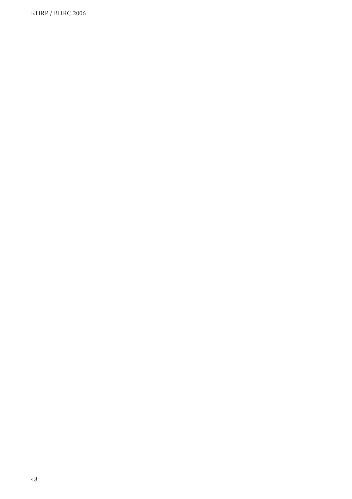KHRP / BHRC 2006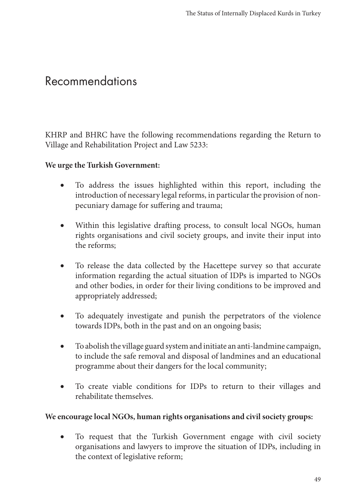# Recommendations

KHRP and BHRC have the following recommendations regarding the Return to Village and Rehabilitation Project and Law 5233:

#### **We urge the Turkish Government:**

- To address the issues highlighted within this report, including the introduction of necessary legal reforms, in particular the provision of nonpecuniary damage for suffering and trauma;
- • Within this legislative drafting process, to consult local NGOs, human rights organisations and civil society groups, and invite their input into the reforms;
- To release the data collected by the Hacettepe survey so that accurate information regarding the actual situation of IDPs is imparted to NGOs and other bodies, in order for their living conditions to be improved and appropriately addressed;
- To adequately investigate and punish the perpetrators of the violence towards IDPs, both in the past and on an ongoing basis;
- • To abolish the village guard system and initiate an anti-landmine campaign, to include the safe removal and disposal of landmines and an educational programme about their dangers for the local community;
- To create viable conditions for IDPs to return to their villages and rehabilitate themselves.

#### **We encourage local NGOs, human rights organisations and civil society groups:**

• To request that the Turkish Government engage with civil society organisations and lawyers to improve the situation of IDPs, including in the context of legislative reform;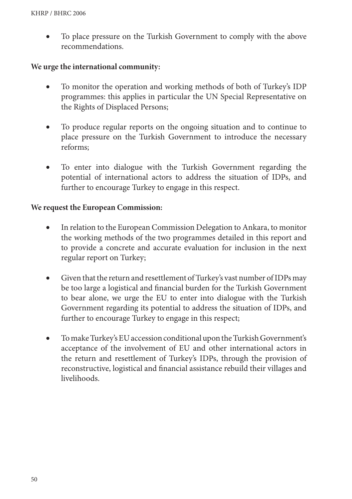To place pressure on the Turkish Government to comply with the above recommendations.

#### **We urge the international community:**

- To monitor the operation and working methods of both of Turkey's IDP programmes: this applies in particular the UN Special Representative on the Rights of Displaced Persons;
- To produce regular reports on the ongoing situation and to continue to place pressure on the Turkish Government to introduce the necessary reforms;
- To enter into dialogue with the Turkish Government regarding the potential of international actors to address the situation of IDPs, and further to encourage Turkey to engage in this respect.

#### **We request the European Commission:**

- In relation to the European Commission Delegation to Ankara, to monitor the working methods of the two programmes detailed in this report and to provide a concrete and accurate evaluation for inclusion in the next regular report on Turkey;
- Given that the return and resettlement of Turkey's vast number of IDPs may be too large a logistical and financial burden for the Turkish Government to bear alone, we urge the EU to enter into dialogue with the Turkish Government regarding its potential to address the situation of IDPs, and further to encourage Turkey to engage in this respect;
- To make Turkey's EU accession conditional upon the Turkish Government's acceptance of the involvement of EU and other international actors in the return and resettlement of Turkey's IDPs, through the provision of reconstructive, logistical and financial assistance rebuild their villages and livelihoods.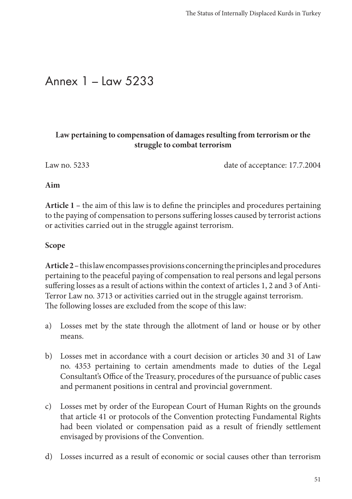### Annex 1 – Law 5233

#### **Law pertaining to compensation of damages resulting from terrorism or the struggle to combat terrorism**

Law no. 5233 date of acceptance: 17.7.2004

**Aim**

**Article 1 –** the aim of this law is to define the principles and procedures pertaining to the paying of compensation to persons suffering losses caused by terrorist actions or activities carried out in the struggle against terrorism.

#### **Scope**

**Article 2 –** this law encompasses provisions concerning the principles and procedures pertaining to the peaceful paying of compensation to real persons and legal persons suffering losses as a result of actions within the context of articles 1, 2 and 3 of Anti-Terror Law no. 3713 or activities carried out in the struggle against terrorism. The following losses are excluded from the scope of this law:

- a) Losses met by the state through the allotment of land or house or by other means.
- b) Losses met in accordance with a court decision or articles 30 and 31 of Law no. 4353 pertaining to certain amendments made to duties of the Legal Consultant's Office of the Treasury, procedures of the pursuance of public cases and permanent positions in central and provincial government.
- c) Losses met by order of the European Court of Human Rights on the grounds that article 41 or protocols of the Convention protecting Fundamental Rights had been violated or compensation paid as a result of friendly settlement envisaged by provisions of the Convention.
- d) Losses incurred as a result of economic or social causes other than terrorism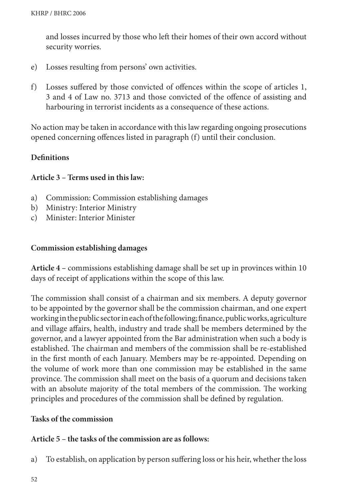and losses incurred by those who left their homes of their own accord without security worries.

- e) Losses resulting from persons' own activities.
- f) Losses suffered by those convicted of offences within the scope of articles 1, 3 and 4 of Law no. 3713 and those convicted of the offence of assisting and harbouring in terrorist incidents as a consequence of these actions.

No action may be taken in accordance with this law regarding ongoing prosecutions opened concerning offences listed in paragraph (f) until their conclusion.

#### **Definitions**

#### **Article 3 – Terms used in this law:**

- a) Commission: Commission establishing damages
- b) Ministry: Interior Ministry
- c) Minister: Interior Minister

#### **Commission establishing damages**

**Article 4 –** commissions establishing damage shall be set up in provinces within 10 days of receipt of applications within the scope of this law.

The commission shall consist of a chairman and six members. A deputy governor to be appointed by the governor shall be the commission chairman, and one expert working in the public sector in each of the following; finance, public works, agriculture and village affairs, health, industry and trade shall be members determined by the governor, and a lawyer appointed from the Bar administration when such a body is established. The chairman and members of the commission shall be re-established in the first month of each January. Members may be re-appointed. Depending on the volume of work more than one commission may be established in the same province. The commission shall meet on the basis of a quorum and decisions taken with an absolute majority of the total members of the commission. The working principles and procedures of the commission shall be defined by regulation.

#### **Tasks of the commission**

#### **Article 5 – the tasks of the commission are as follows:**

a) To establish, on application by person suffering loss or his heir, whether the loss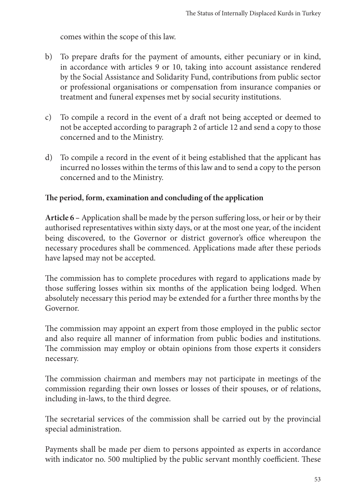comes within the scope of this law.

- b) To prepare drafts for the payment of amounts, either pecuniary or in kind, in accordance with articles 9 or 10, taking into account assistance rendered by the Social Assistance and Solidarity Fund, contributions from public sector or professional organisations or compensation from insurance companies or treatment and funeral expenses met by social security institutions.
- c) To compile a record in the event of a draft not being accepted or deemed to not be accepted according to paragraph 2 of article 12 and send a copy to those concerned and to the Ministry.
- d) To compile a record in the event of it being established that the applicant has incurred no losses within the terms of this law and to send a copy to the person concerned and to the Ministry.

#### **The period, form, examination and concluding of the application**

**Article 6 –** Application shall be made by the person suffering loss, or heir or by their authorised representatives within sixty days, or at the most one year, of the incident being discovered, to the Governor or district governor's office whereupon the necessary procedures shall be commenced. Applications made after these periods have lapsed may not be accepted.

The commission has to complete procedures with regard to applications made by those suffering losses within six months of the application being lodged. When absolutely necessary this period may be extended for a further three months by the Governor.

The commission may appoint an expert from those employed in the public sector and also require all manner of information from public bodies and institutions. The commission may employ or obtain opinions from those experts it considers necessary.

The commission chairman and members may not participate in meetings of the commission regarding their own losses or losses of their spouses, or of relations, including in-laws, to the third degree.

The secretarial services of the commission shall be carried out by the provincial special administration.

Payments shall be made per diem to persons appointed as experts in accordance with indicator no. 500 multiplied by the public servant monthly coefficient. These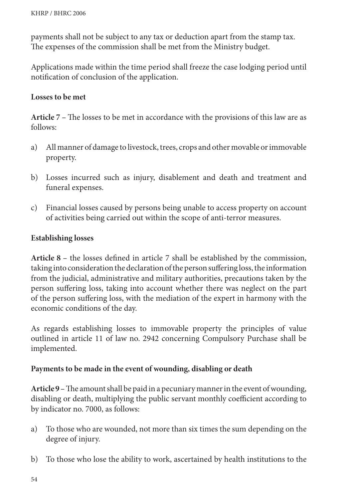payments shall not be subject to any tax or deduction apart from the stamp tax. The expenses of the commission shall be met from the Ministry budget.

Applications made within the time period shall freeze the case lodging period until notification of conclusion of the application.

#### **Losses to be met**

**Article 7 –** The losses to be met in accordance with the provisions of this law are as follows:

- a) All manner of damage to livestock, trees, crops and other movable or immovable property.
- b) Losses incurred such as injury, disablement and death and treatment and funeral expenses.
- c) Financial losses caused by persons being unable to access property on account of activities being carried out within the scope of anti-terror measures.

#### **Establishing losses**

**Article 8 –** the losses defined in article 7 shall be established by the commission, taking into consideration the declaration of the person suffering loss, the information from the judicial, administrative and military authorities, precautions taken by the person suffering loss, taking into account whether there was neglect on the part of the person suffering loss, with the mediation of the expert in harmony with the economic conditions of the day.

As regards establishing losses to immovable property the principles of value outlined in article 11 of law no. 2942 concerning Compulsory Purchase shall be implemented.

#### **Payments to be made in the event of wounding, disabling or death**

**Article 9 –** The amount shall be paid in a pecuniary manner in the event of wounding, disabling or death, multiplying the public servant monthly coefficient according to by indicator no. 7000, as follows:

- a) To those who are wounded, not more than six times the sum depending on the degree of injury.
- b) To those who lose the ability to work, ascertained by health institutions to the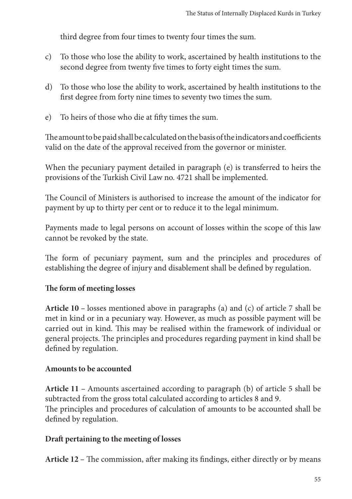third degree from four times to twenty four times the sum.

- c) To those who lose the ability to work, ascertained by health institutions to the second degree from twenty five times to forty eight times the sum.
- d) To those who lose the ability to work, ascertained by health institutions to the first degree from forty nine times to seventy two times the sum.
- e) To heirs of those who die at fifty times the sum.

The amount to be paid shall be calculated on the basis of the indicators and coefficients valid on the date of the approval received from the governor or minister.

When the pecuniary payment detailed in paragraph (e) is transferred to heirs the provisions of the Turkish Civil Law no. 4721 shall be implemented.

The Council of Ministers is authorised to increase the amount of the indicator for payment by up to thirty per cent or to reduce it to the legal minimum.

Payments made to legal persons on account of losses within the scope of this law cannot be revoked by the state.

The form of pecuniary payment, sum and the principles and procedures of establishing the degree of injury and disablement shall be defined by regulation.

#### **The form of meeting losses**

**Article 10 –** losses mentioned above in paragraphs (a) and (c) of article 7 shall be met in kind or in a pecuniary way. However, as much as possible payment will be carried out in kind. This may be realised within the framework of individual or general projects. The principles and procedures regarding payment in kind shall be defined by regulation.

#### **Amounts to be accounted**

**Article 11 –** Amounts ascertained according to paragraph (b) of article 5 shall be subtracted from the gross total calculated according to articles 8 and 9. The principles and procedures of calculation of amounts to be accounted shall be defined by regulation.

#### **Draft pertaining to the meeting of losses**

**Article 12 –** The commission, after making its findings, either directly or by means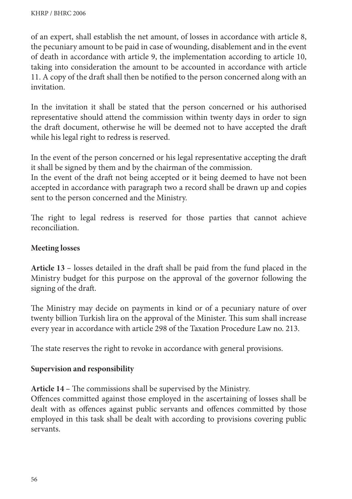of an expert, shall establish the net amount, of losses in accordance with article 8, the pecuniary amount to be paid in case of wounding, disablement and in the event of death in accordance with article 9, the implementation according to article 10, taking into consideration the amount to be accounted in accordance with article 11. A copy of the draft shall then be notified to the person concerned along with an invitation.

In the invitation it shall be stated that the person concerned or his authorised representative should attend the commission within twenty days in order to sign the draft document, otherwise he will be deemed not to have accepted the draft while his legal right to redress is reserved.

In the event of the person concerned or his legal representative accepting the draft it shall be signed by them and by the chairman of the commission.

In the event of the draft not being accepted or it being deemed to have not been accepted in accordance with paragraph two a record shall be drawn up and copies sent to the person concerned and the Ministry.

The right to legal redress is reserved for those parties that cannot achieve reconciliation.

#### **Meeting losses**

**Article 13 –** losses detailed in the draft shall be paid from the fund placed in the Ministry budget for this purpose on the approval of the governor following the signing of the draft.

The Ministry may decide on payments in kind or of a pecuniary nature of over twenty billion Turkish lira on the approval of the Minister. This sum shall increase every year in accordance with article 298 of the Taxation Procedure Law no. 213.

The state reserves the right to revoke in accordance with general provisions.

#### **Supervision and responsibility**

**Article 14 –** The commissions shall be supervised by the Ministry.

Offences committed against those employed in the ascertaining of losses shall be dealt with as offences against public servants and offences committed by those employed in this task shall be dealt with according to provisions covering public servants.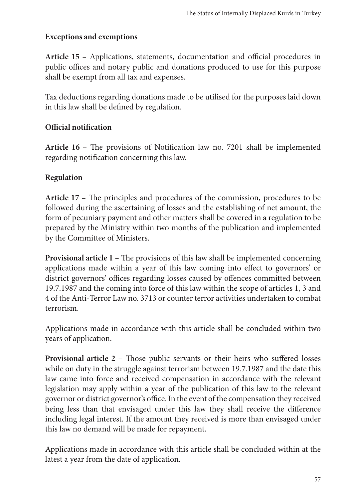#### **Exceptions and exemptions**

**Article 15 –** Applications, statements, documentation and official procedures in public offices and notary public and donations produced to use for this purpose shall be exempt from all tax and expenses.

Tax deductions regarding donations made to be utilised for the purposes laid down in this law shall be defined by regulation.

#### **Official notification**

**Article 16 –** The provisions of Notification law no. 7201 shall be implemented regarding notification concerning this law.

#### **Regulation**

**Article 17 –** The principles and procedures of the commission, procedures to be followed during the ascertaining of losses and the establishing of net amount, the form of pecuniary payment and other matters shall be covered in a regulation to be prepared by the Ministry within two months of the publication and implemented by the Committee of Ministers.

**Provisional article 1 –** The provisions of this law shall be implemented concerning applications made within a year of this law coming into effect to governors' or district governors' offices regarding losses caused by offences committed between 19.7.1987 and the coming into force of this law within the scope of articles 1, 3 and 4 of the Anti-Terror Law no. 3713 or counter terror activities undertaken to combat terrorism.

Applications made in accordance with this article shall be concluded within two years of application.

**Provisional article 2 –** Those public servants or their heirs who suffered losses while on duty in the struggle against terrorism between 19.7.1987 and the date this law came into force and received compensation in accordance with the relevant legislation may apply within a year of the publication of this law to the relevant governor or district governor's office. In the event of the compensation they received being less than that envisaged under this law they shall receive the difference including legal interest. If the amount they received is more than envisaged under this law no demand will be made for repayment.

Applications made in accordance with this article shall be concluded within at the latest a year from the date of application.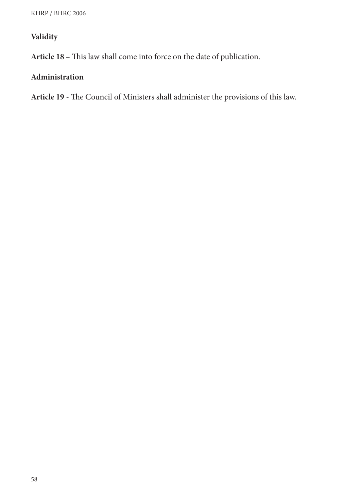#### **Validity**

**Article 18 –** This law shall come into force on the date of publication.

#### **Administration**

**Article 19** - The Council of Ministers shall administer the provisions of this law.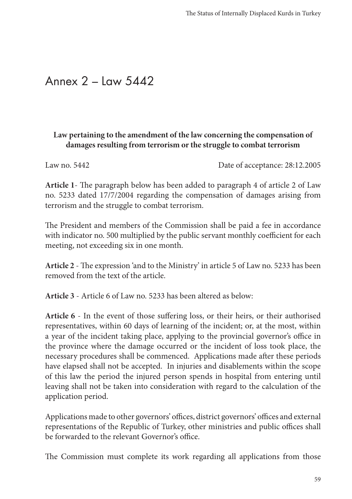### Annex  $2 - \text{law } 5442$

#### **Law pertaining to the amendment of the law concerning the compensation of damages resulting from terrorism or the struggle to combat terrorism**

Law no. 5442 Date of acceptance: 28:12.2005

**Article 1**- The paragraph below has been added to paragraph 4 of article 2 of Law no. 5233 dated 17/7/2004 regarding the compensation of damages arising from terrorism and the struggle to combat terrorism.

The President and members of the Commission shall be paid a fee in accordance with indicator no. 500 multiplied by the public servant monthly coefficient for each meeting, not exceeding six in one month.

**Article 2** - The expression 'and to the Ministry' in article 5 of Law no. 5233 has been removed from the text of the article.

**Article 3** - Article 6 of Law no. 5233 has been altered as below:

**Article 6** - In the event of those suffering loss, or their heirs, or their authorised representatives, within 60 days of learning of the incident; or, at the most, within a year of the incident taking place, applying to the provincial governor's office in the province where the damage occurred or the incident of loss took place, the necessary procedures shall be commenced. Applications made after these periods have elapsed shall not be accepted. In injuries and disablements within the scope of this law the period the injured person spends in hospital from entering until leaving shall not be taken into consideration with regard to the calculation of the application period.

Applications made to other governors' offices, district governors' offices and external representations of the Republic of Turkey, other ministries and public offices shall be forwarded to the relevant Governor's office.

The Commission must complete its work regarding all applications from those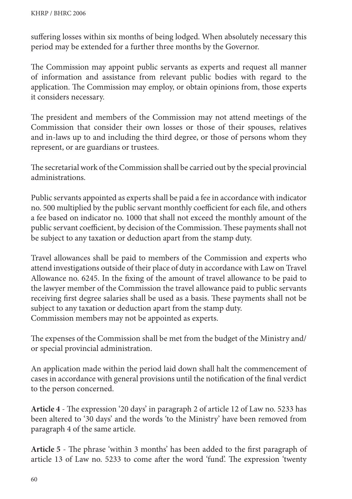suffering losses within six months of being lodged. When absolutely necessary this period may be extended for a further three months by the Governor.

The Commission may appoint public servants as experts and request all manner of information and assistance from relevant public bodies with regard to the application. The Commission may employ, or obtain opinions from, those experts it considers necessary.

The president and members of the Commission may not attend meetings of the Commission that consider their own losses or those of their spouses, relatives and in-laws up to and including the third degree, or those of persons whom they represent, or are guardians or trustees.

The secretarial work of the Commission shall be carried out by the special provincial administrations.

Public servants appointed as experts shall be paid a fee in accordance with indicator no. 500 multiplied by the public servant monthly coefficient for each file, and others a fee based on indicator no. 1000 that shall not exceed the monthly amount of the public servant coefficient, by decision of the Commission. These payments shall not be subject to any taxation or deduction apart from the stamp duty.

Travel allowances shall be paid to members of the Commission and experts who attend investigations outside of their place of duty in accordance with Law on Travel Allowance no. 6245. In the fixing of the amount of travel allowance to be paid to the lawyer member of the Commission the travel allowance paid to public servants receiving first degree salaries shall be used as a basis. These payments shall not be subject to any taxation or deduction apart from the stamp duty. Commission members may not be appointed as experts.

The expenses of the Commission shall be met from the budget of the Ministry and/ or special provincial administration.

An application made within the period laid down shall halt the commencement of cases in accordance with general provisions until the notification of the final verdict to the person concerned.

**Article 4** - The expression '20 days' in paragraph 2 of article 12 of Law no. 5233 has been altered to '30 days' and the words 'to the Ministry' have been removed from paragraph 4 of the same article.

**Article 5** - The phrase 'within 3 months' has been added to the first paragraph of article 13 of Law no. 5233 to come after the word 'fund'. The expression 'twenty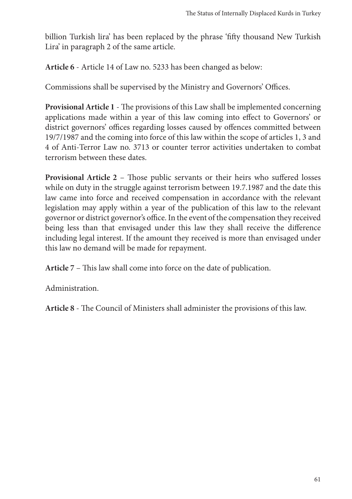billion Turkish lira' has been replaced by the phrase 'fifty thousand New Turkish Lira' in paragraph 2 of the same article.

**Article 6** - Article 14 of Law no. 5233 has been changed as below:

Commissions shall be supervised by the Ministry and Governors' Offices.

**Provisional Article 1** - The provisions of this Law shall be implemented concerning applications made within a year of this law coming into effect to Governors' or district governors' offices regarding losses caused by offences committed between 19/7/1987 and the coming into force of this law within the scope of articles 1, 3 and 4 of Anti-Terror Law no. 3713 or counter terror activities undertaken to combat terrorism between these dates.

**Provisional Article 2** – Those public servants or their heirs who suffered losses while on duty in the struggle against terrorism between 19.7.1987 and the date this law came into force and received compensation in accordance with the relevant legislation may apply within a year of the publication of this law to the relevant governor or district governor's office. In the event of the compensation they received being less than that envisaged under this law they shall receive the difference including legal interest. If the amount they received is more than envisaged under this law no demand will be made for repayment.

**Article 7** – This law shall come into force on the date of publication.

Administration.

**Article 8** - The Council of Ministers shall administer the provisions of this law.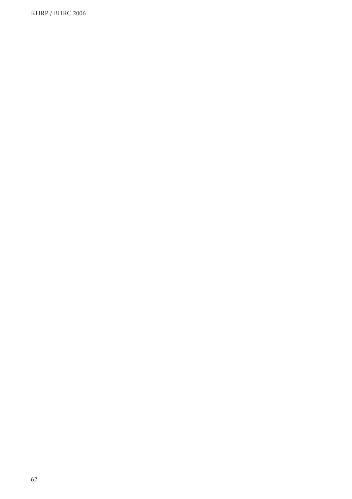KHRP / BHRC 2006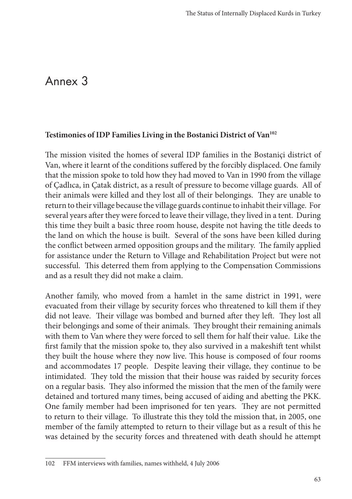### Annex 3

#### **Testimonies of IDP Families Living in the Bostanici District of Van102**

The mission visited the homes of several IDP families in the Bostaniçi district of Van, where it learnt of the conditions suffered by the forcibly displaced. One family that the mission spoke to told how they had moved to Van in 1990 from the village of Çadlıca, in Çatak district, as a result of pressure to become village guards. All of their animals were killed and they lost all of their belongings. They are unable to return to their village because the village guards continue to inhabit their village. For several years after they were forced to leave their village, they lived in a tent. During this time they built a basic three room house, despite not having the title deeds to the land on which the house is built. Several of the sons have been killed during the conflict between armed opposition groups and the military. The family applied for assistance under the Return to Village and Rehabilitation Project but were not successful. This deterred them from applying to the Compensation Commissions and as a result they did not make a claim.

Another family, who moved from a hamlet in the same district in 1991, were evacuated from their village by security forces who threatened to kill them if they did not leave. Their village was bombed and burned after they left. They lost all their belongings and some of their animals. They brought their remaining animals with them to Van where they were forced to sell them for half their value. Like the first family that the mission spoke to, they also survived in a makeshift tent whilst they built the house where they now live. This house is composed of four rooms and accommodates 17 people. Despite leaving their village, they continue to be intimidated. They told the mission that their house was raided by security forces on a regular basis. They also informed the mission that the men of the family were detained and tortured many times, being accused of aiding and abetting the PKK. One family member had been imprisoned for ten years. They are not permitted to return to their village. To illustrate this they told the mission that, in 2005, one member of the family attempted to return to their village but as a result of this he was detained by the security forces and threatened with death should he attempt

<sup>102</sup> FFM interviews with families, names withheld, 4 July 2006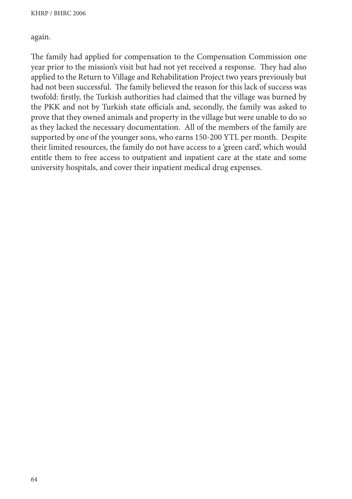again.

The family had applied for compensation to the Compensation Commission one year prior to the mission's visit but had not yet received a response. They had also applied to the Return to Village and Rehabilitation Project two years previously but had not been successful. The family believed the reason for this lack of success was twofold: firstly, the Turkish authorities had claimed that the village was burned by the PKK and not by Turkish state officials and, secondly, the family was asked to prove that they owned animals and property in the village but were unable to do so as they lacked the necessary documentation. All of the members of the family are supported by one of the younger sons, who earns 150-200 YTL per month. Despite their limited resources, the family do not have access to a 'green card', which would entitle them to free access to outpatient and inpatient care at the state and some university hospitals, and cover their inpatient medical drug expenses.